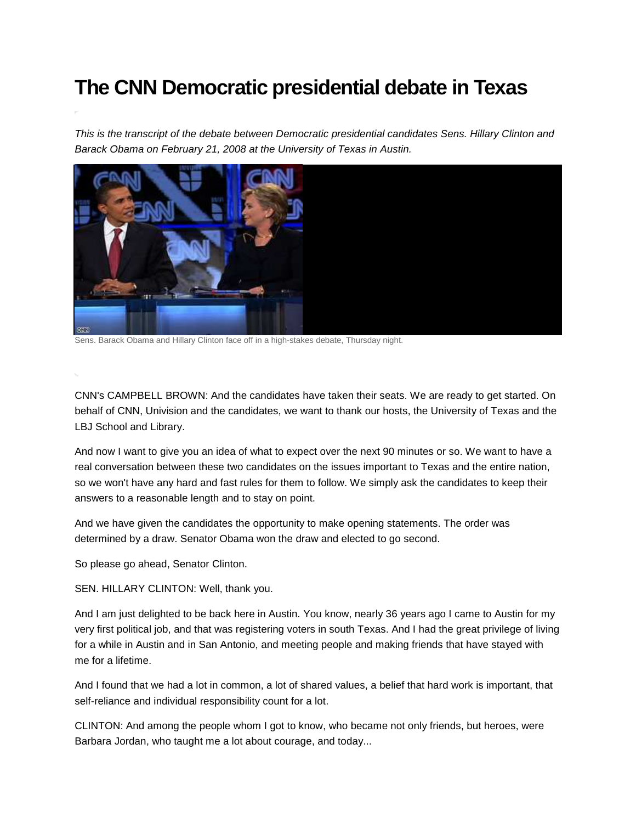# **The CNN Democratic presidential debate in Texas**

This is the transcript of the debate between Democratic presidential candidates Sens. Hillary Clinton and Barack Obama on February 21, 2008 at the University of Texas in Austin.



Sens. Barack Obama and Hillary Clinton face off in a high-stakes debate, Thursday night.

CNN's CAMPBELL BROWN: And the candidates have taken their seats. We are ready to get started. On behalf of CNN, Univision and the candidates, we want to thank our hosts, the University of Texas and the LBJ School and Library.

And now I want to give you an idea of what to expect over the next 90 minutes or so. We want to have a real conversation between these two candidates on the issues important to Texas and the entire nation, so we won't have any hard and fast rules for them to follow. We simply ask the candidates to keep their answers to a reasonable length and to stay on point.

And we have given the candidates the opportunity to make opening statements. The order was determined by a draw. Senator Obama won the draw and elected to go second.

So please go ahead, Senator Clinton.

SEN. HILLARY CLINTON: Well, thank you.

And I am just delighted to be back here in Austin. You know, nearly 36 years ago I came to Austin for my very first political job, and that was registering voters in south Texas. And I had the great privilege of living for a while in Austin and in San Antonio, and meeting people and making friends that have stayed with me for a lifetime.

And I found that we had a lot in common, a lot of shared values, a belief that hard work is important, that self-reliance and individual responsibility count for a lot.

CLINTON: And among the people whom I got to know, who became not only friends, but heroes, were Barbara Jordan, who taught me a lot about courage, and today...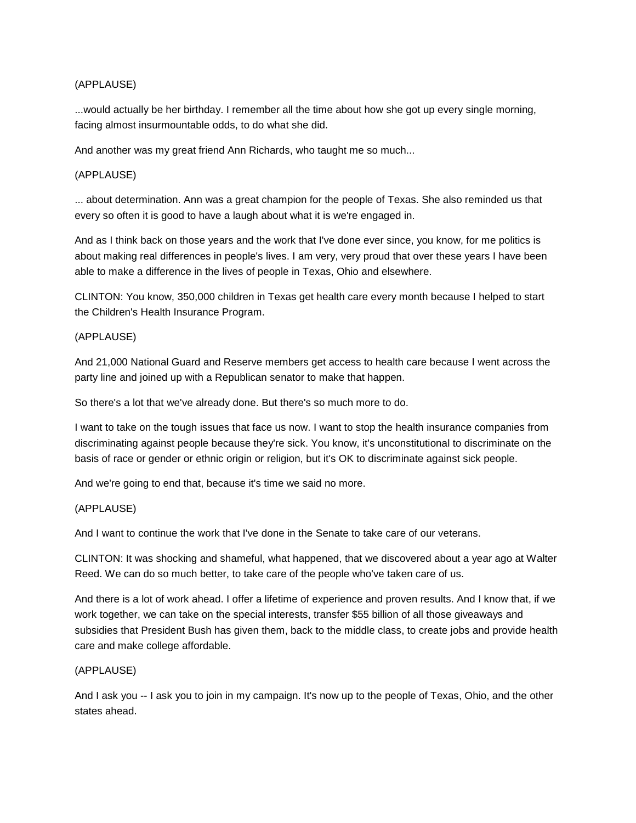## (APPLAUSE)

...would actually be her birthday. I remember all the time about how she got up every single morning, facing almost insurmountable odds, to do what she did.

And another was my great friend Ann Richards, who taught me so much...

## (APPLAUSE)

... about determination. Ann was a great champion for the people of Texas. She also reminded us that every so often it is good to have a laugh about what it is we're engaged in.

And as I think back on those years and the work that I've done ever since, you know, for me politics is about making real differences in people's lives. I am very, very proud that over these years I have been able to make a difference in the lives of people in Texas, Ohio and elsewhere.

CLINTON: You know, 350,000 children in Texas get health care every month because I helped to start the Children's Health Insurance Program.

## (APPLAUSE)

And 21,000 National Guard and Reserve members get access to health care because I went across the party line and joined up with a Republican senator to make that happen.

So there's a lot that we've already done. But there's so much more to do.

I want to take on the tough issues that face us now. I want to stop the health insurance companies from discriminating against people because they're sick. You know, it's unconstitutional to discriminate on the basis of race or gender or ethnic origin or religion, but it's OK to discriminate against sick people.

And we're going to end that, because it's time we said no more.

# (APPLAUSE)

And I want to continue the work that I've done in the Senate to take care of our veterans.

CLINTON: It was shocking and shameful, what happened, that we discovered about a year ago at Walter Reed. We can do so much better, to take care of the people who've taken care of us.

And there is a lot of work ahead. I offer a lifetime of experience and proven results. And I know that, if we work together, we can take on the special interests, transfer \$55 billion of all those giveaways and subsidies that President Bush has given them, back to the middle class, to create jobs and provide health care and make college affordable.

## (APPLAUSE)

And I ask you -- I ask you to join in my campaign. It's now up to the people of Texas, Ohio, and the other states ahead.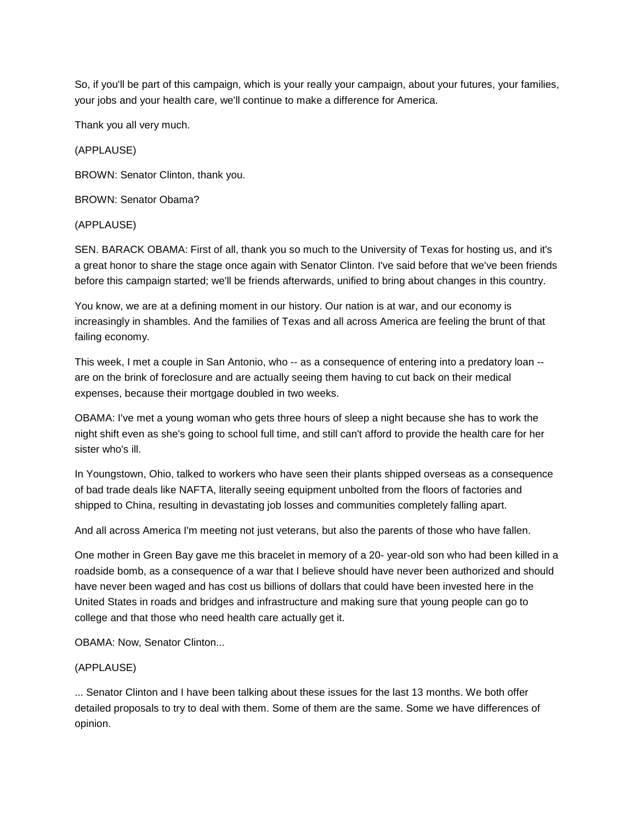So, if you'll be part of this campaign, which is your really your campaign, about your futures, your families, your jobs and your health care, we'll continue to make a difference for America.

Thank you all very much.

(APPLAUSE)

BROWN: Senator Clinton, thank you.

BROWN: Senator Obama?

#### (APPLAUSE)

SEN. BARACK OBAMA: First of all, thank you so much to the University of Texas for hosting us, and it's a great honor to share the stage once again with Senator Clinton. I've said before that we've been friends before this campaign started; we'll be friends afterwards, unified to bring about changes in this country.

You know, we are at a defining moment in our history. Our nation is at war, and our economy is increasingly in shambles. And the families of Texas and all across America are feeling the brunt of that failing economy.

This week, I met a couple in San Antonio, who -- as a consequence of entering into a predatory loan -are on the brink of foreclosure and are actually seeing them having to cut back on their medical expenses, because their mortgage doubled in two weeks.

OBAMA: I've met a young woman who gets three hours of sleep a night because she has to work the night shift even as she's going to school full time, and still can't afford to provide the health care for her sister who's ill.

In Youngstown, Ohio, talked to workers who have seen their plants shipped overseas as a consequence of bad trade deals like NAFTA, literally seeing equipment unbolted from the floors of factories and shipped to China, resulting in devastating job losses and communities completely falling apart.

And all across America I'm meeting not just veterans, but also the parents of those who have fallen.

One mother in Green Bay gave me this bracelet in memory of a 20- year-old son who had been killed in a roadside bomb, as a consequence of a war that I believe should have never been authorized and should have never been waged and has cost us billions of dollars that could have been invested here in the United States in roads and bridges and infrastructure and making sure that young people can go to college and that those who need health care actually get it.

OBAMA: Now, Senator Clinton...

## (APPLAUSE)

... Senator Clinton and I have been talking about these issues for the last 13 months. We both offer detailed proposals to try to deal with them. Some of them are the same. Some we have differences of opinion.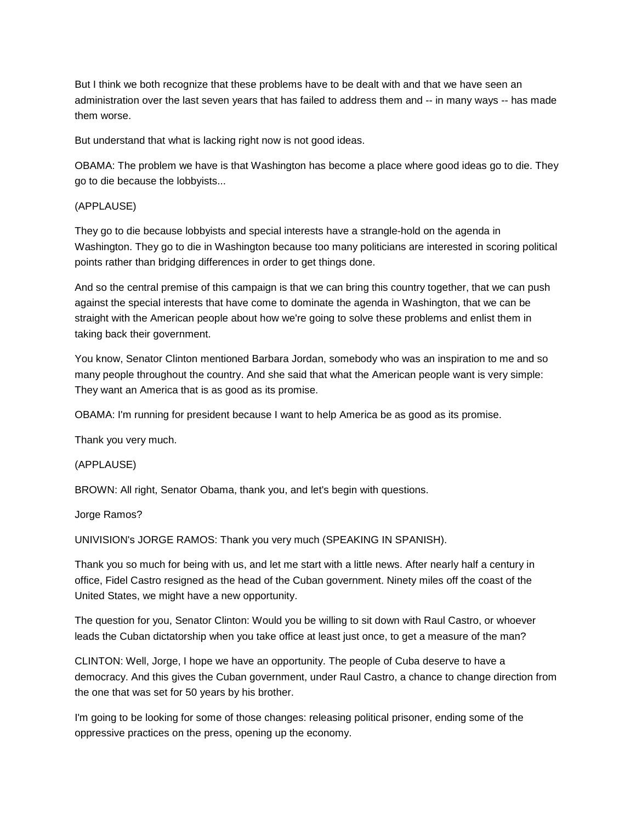But I think we both recognize that these problems have to be dealt with and that we have seen an administration over the last seven years that has failed to address them and -- in many ways -- has made them worse.

But understand that what is lacking right now is not good ideas.

OBAMA: The problem we have is that Washington has become a place where good ideas go to die. They go to die because the lobbyists...

## (APPLAUSE)

They go to die because lobbyists and special interests have a strangle-hold on the agenda in Washington. They go to die in Washington because too many politicians are interested in scoring political points rather than bridging differences in order to get things done.

And so the central premise of this campaign is that we can bring this country together, that we can push against the special interests that have come to dominate the agenda in Washington, that we can be straight with the American people about how we're going to solve these problems and enlist them in taking back their government.

You know, Senator Clinton mentioned Barbara Jordan, somebody who was an inspiration to me and so many people throughout the country. And she said that what the American people want is very simple: They want an America that is as good as its promise.

OBAMA: I'm running for president because I want to help America be as good as its promise.

Thank you very much.

(APPLAUSE)

BROWN: All right, Senator Obama, thank you, and let's begin with questions.

Jorge Ramos?

UNIVISION's JORGE RAMOS: Thank you very much (SPEAKING IN SPANISH).

Thank you so much for being with us, and let me start with a little news. After nearly half a century in office, Fidel Castro resigned as the head of the Cuban government. Ninety miles off the coast of the United States, we might have a new opportunity.

The question for you, Senator Clinton: Would you be willing to sit down with Raul Castro, or whoever leads the Cuban dictatorship when you take office at least just once, to get a measure of the man?

CLINTON: Well, Jorge, I hope we have an opportunity. The people of Cuba deserve to have a democracy. And this gives the Cuban government, under Raul Castro, a chance to change direction from the one that was set for 50 years by his brother.

I'm going to be looking for some of those changes: releasing political prisoner, ending some of the oppressive practices on the press, opening up the economy.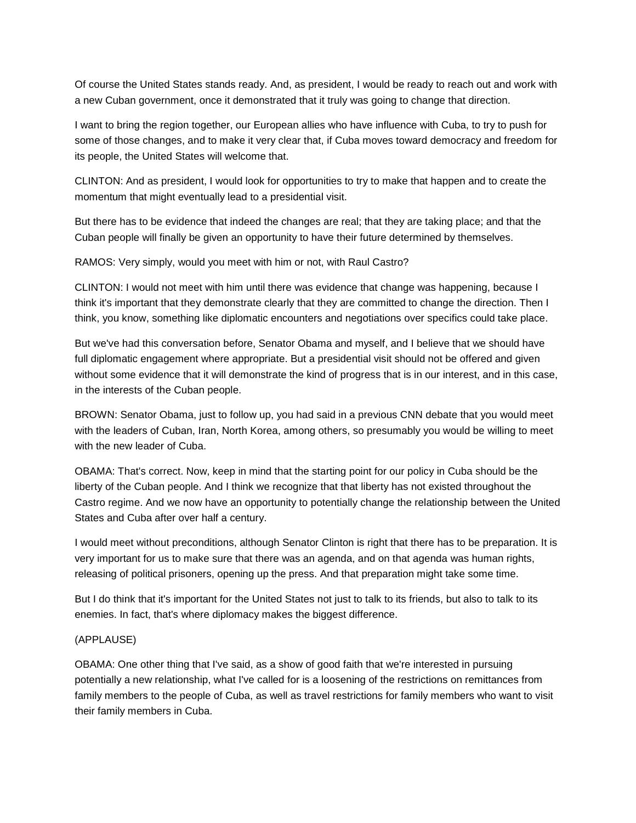Of course the United States stands ready. And, as president, I would be ready to reach out and work with a new Cuban government, once it demonstrated that it truly was going to change that direction.

I want to bring the region together, our European allies who have influence with Cuba, to try to push for some of those changes, and to make it very clear that, if Cuba moves toward democracy and freedom for its people, the United States will welcome that.

CLINTON: And as president, I would look for opportunities to try to make that happen and to create the momentum that might eventually lead to a presidential visit.

But there has to be evidence that indeed the changes are real; that they are taking place; and that the Cuban people will finally be given an opportunity to have their future determined by themselves.

RAMOS: Very simply, would you meet with him or not, with Raul Castro?

CLINTON: I would not meet with him until there was evidence that change was happening, because I think it's important that they demonstrate clearly that they are committed to change the direction. Then I think, you know, something like diplomatic encounters and negotiations over specifics could take place.

But we've had this conversation before, Senator Obama and myself, and I believe that we should have full diplomatic engagement where appropriate. But a presidential visit should not be offered and given without some evidence that it will demonstrate the kind of progress that is in our interest, and in this case, in the interests of the Cuban people.

BROWN: Senator Obama, just to follow up, you had said in a previous CNN debate that you would meet with the leaders of Cuban, Iran, North Korea, among others, so presumably you would be willing to meet with the new leader of Cuba.

OBAMA: That's correct. Now, keep in mind that the starting point for our policy in Cuba should be the liberty of the Cuban people. And I think we recognize that that liberty has not existed throughout the Castro regime. And we now have an opportunity to potentially change the relationship between the United States and Cuba after over half a century.

I would meet without preconditions, although Senator Clinton is right that there has to be preparation. It is very important for us to make sure that there was an agenda, and on that agenda was human rights, releasing of political prisoners, opening up the press. And that preparation might take some time.

But I do think that it's important for the United States not just to talk to its friends, but also to talk to its enemies. In fact, that's where diplomacy makes the biggest difference.

## (APPLAUSE)

OBAMA: One other thing that I've said, as a show of good faith that we're interested in pursuing potentially a new relationship, what I've called for is a loosening of the restrictions on remittances from family members to the people of Cuba, as well as travel restrictions for family members who want to visit their family members in Cuba.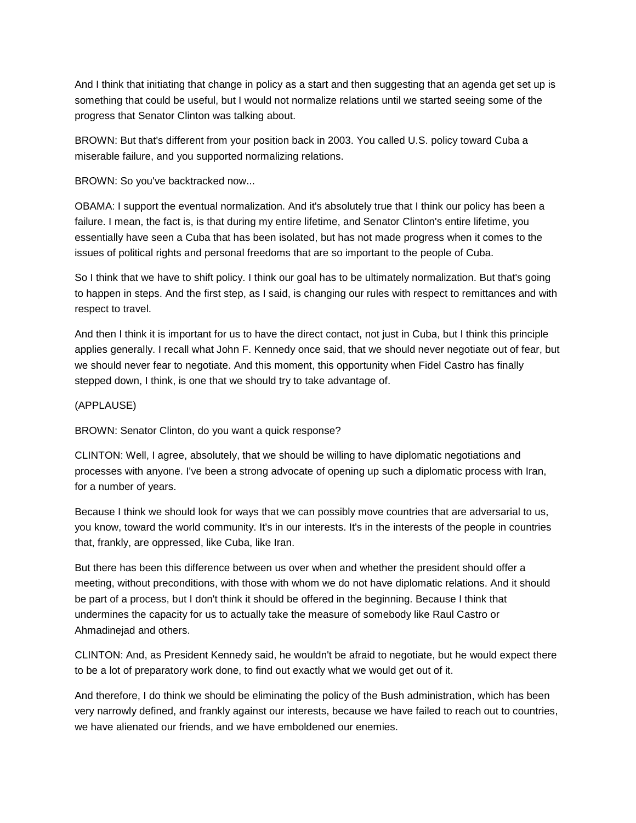And I think that initiating that change in policy as a start and then suggesting that an agenda get set up is something that could be useful, but I would not normalize relations until we started seeing some of the progress that Senator Clinton was talking about.

BROWN: But that's different from your position back in 2003. You called U.S. policy toward Cuba a miserable failure, and you supported normalizing relations.

BROWN: So you've backtracked now...

OBAMA: I support the eventual normalization. And it's absolutely true that I think our policy has been a failure. I mean, the fact is, is that during my entire lifetime, and Senator Clinton's entire lifetime, you essentially have seen a Cuba that has been isolated, but has not made progress when it comes to the issues of political rights and personal freedoms that are so important to the people of Cuba.

So I think that we have to shift policy. I think our goal has to be ultimately normalization. But that's going to happen in steps. And the first step, as I said, is changing our rules with respect to remittances and with respect to travel.

And then I think it is important for us to have the direct contact, not just in Cuba, but I think this principle applies generally. I recall what John F. Kennedy once said, that we should never negotiate out of fear, but we should never fear to negotiate. And this moment, this opportunity when Fidel Castro has finally stepped down, I think, is one that we should try to take advantage of.

## (APPLAUSE)

BROWN: Senator Clinton, do you want a quick response?

CLINTON: Well, I agree, absolutely, that we should be willing to have diplomatic negotiations and processes with anyone. I've been a strong advocate of opening up such a diplomatic process with Iran, for a number of years.

Because I think we should look for ways that we can possibly move countries that are adversarial to us, you know, toward the world community. It's in our interests. It's in the interests of the people in countries that, frankly, are oppressed, like Cuba, like Iran.

But there has been this difference between us over when and whether the president should offer a meeting, without preconditions, with those with whom we do not have diplomatic relations. And it should be part of a process, but I don't think it should be offered in the beginning. Because I think that undermines the capacity for us to actually take the measure of somebody like Raul Castro or Ahmadinejad and others.

CLINTON: And, as President Kennedy said, he wouldn't be afraid to negotiate, but he would expect there to be a lot of preparatory work done, to find out exactly what we would get out of it.

And therefore, I do think we should be eliminating the policy of the Bush administration, which has been very narrowly defined, and frankly against our interests, because we have failed to reach out to countries, we have alienated our friends, and we have emboldened our enemies.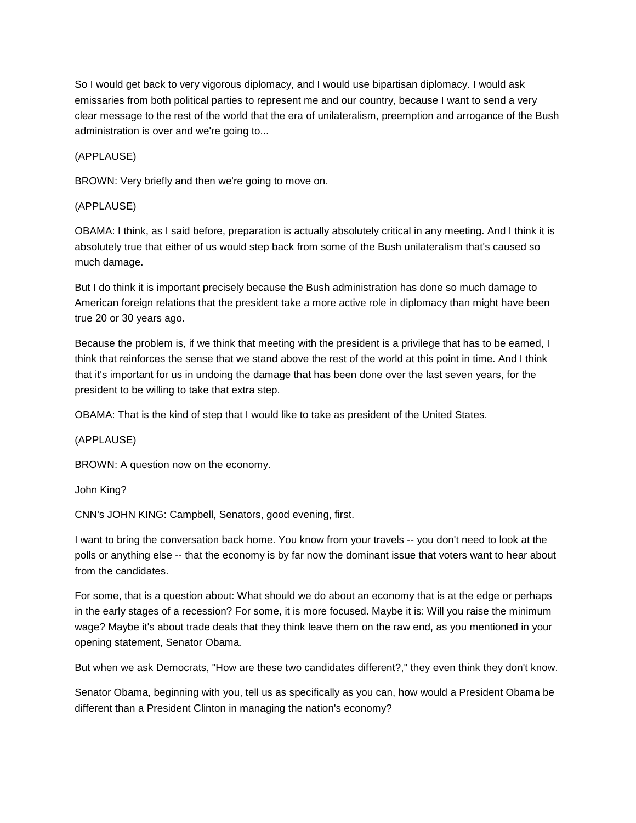So I would get back to very vigorous diplomacy, and I would use bipartisan diplomacy. I would ask emissaries from both political parties to represent me and our country, because I want to send a very clear message to the rest of the world that the era of unilateralism, preemption and arrogance of the Bush administration is over and we're going to...

## (APPLAUSE)

BROWN: Very briefly and then we're going to move on.

## (APPLAUSE)

OBAMA: I think, as I said before, preparation is actually absolutely critical in any meeting. And I think it is absolutely true that either of us would step back from some of the Bush unilateralism that's caused so much damage.

But I do think it is important precisely because the Bush administration has done so much damage to American foreign relations that the president take a more active role in diplomacy than might have been true 20 or 30 years ago.

Because the problem is, if we think that meeting with the president is a privilege that has to be earned, I think that reinforces the sense that we stand above the rest of the world at this point in time. And I think that it's important for us in undoing the damage that has been done over the last seven years, for the president to be willing to take that extra step.

OBAMA: That is the kind of step that I would like to take as president of the United States.

## (APPLAUSE)

BROWN: A question now on the economy.

John King?

CNN's JOHN KING: Campbell, Senators, good evening, first.

I want to bring the conversation back home. You know from your travels -- you don't need to look at the polls or anything else -- that the economy is by far now the dominant issue that voters want to hear about from the candidates.

For some, that is a question about: What should we do about an economy that is at the edge or perhaps in the early stages of a recession? For some, it is more focused. Maybe it is: Will you raise the minimum wage? Maybe it's about trade deals that they think leave them on the raw end, as you mentioned in your opening statement, Senator Obama.

But when we ask Democrats, "How are these two candidates different?," they even think they don't know.

Senator Obama, beginning with you, tell us as specifically as you can, how would a President Obama be different than a President Clinton in managing the nation's economy?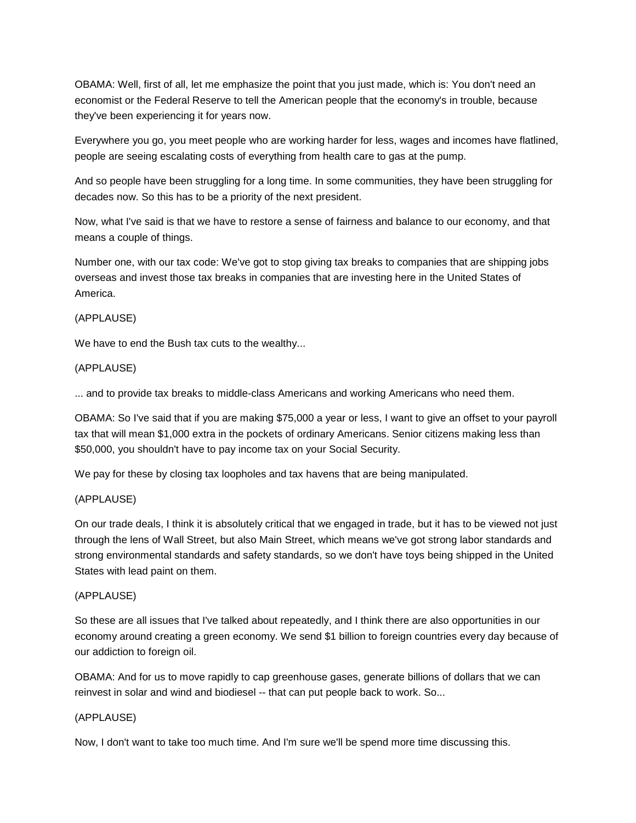OBAMA: Well, first of all, let me emphasize the point that you just made, which is: You don't need an economist or the Federal Reserve to tell the American people that the economy's in trouble, because they've been experiencing it for years now.

Everywhere you go, you meet people who are working harder for less, wages and incomes have flatlined, people are seeing escalating costs of everything from health care to gas at the pump.

And so people have been struggling for a long time. In some communities, they have been struggling for decades now. So this has to be a priority of the next president.

Now, what I've said is that we have to restore a sense of fairness and balance to our economy, and that means a couple of things.

Number one, with our tax code: We've got to stop giving tax breaks to companies that are shipping jobs overseas and invest those tax breaks in companies that are investing here in the United States of America.

## (APPLAUSE)

We have to end the Bush tax cuts to the wealthy...

## (APPLAUSE)

... and to provide tax breaks to middle-class Americans and working Americans who need them.

OBAMA: So I've said that if you are making \$75,000 a year or less, I want to give an offset to your payroll tax that will mean \$1,000 extra in the pockets of ordinary Americans. Senior citizens making less than \$50,000, you shouldn't have to pay income tax on your Social Security.

We pay for these by closing tax loopholes and tax havens that are being manipulated.

## (APPLAUSE)

On our trade deals, I think it is absolutely critical that we engaged in trade, but it has to be viewed not just through the lens of Wall Street, but also Main Street, which means we've got strong labor standards and strong environmental standards and safety standards, so we don't have toys being shipped in the United States with lead paint on them.

## (APPLAUSE)

So these are all issues that I've talked about repeatedly, and I think there are also opportunities in our economy around creating a green economy. We send \$1 billion to foreign countries every day because of our addiction to foreign oil.

OBAMA: And for us to move rapidly to cap greenhouse gases, generate billions of dollars that we can reinvest in solar and wind and biodiesel -- that can put people back to work. So...

## (APPLAUSE)

Now, I don't want to take too much time. And I'm sure we'll be spend more time discussing this.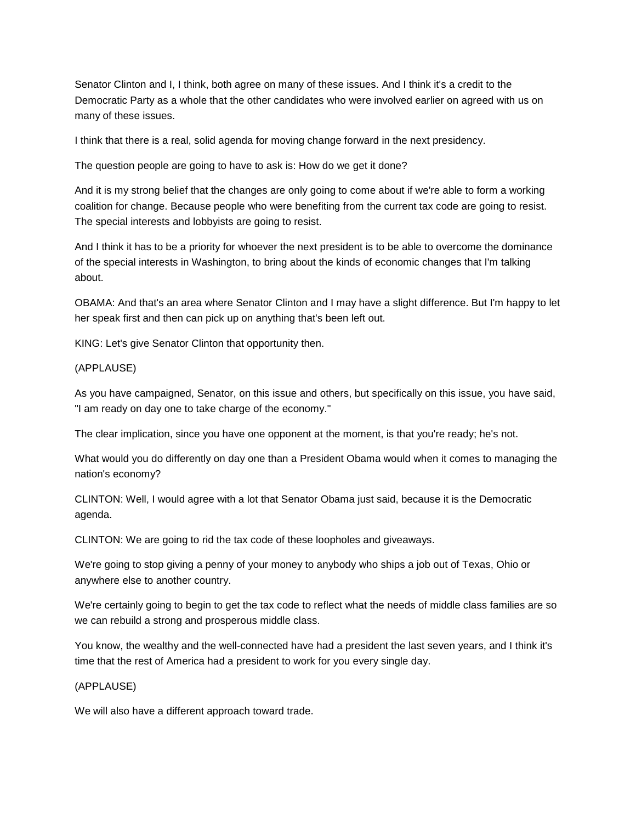Senator Clinton and I, I think, both agree on many of these issues. And I think it's a credit to the Democratic Party as a whole that the other candidates who were involved earlier on agreed with us on many of these issues.

I think that there is a real, solid agenda for moving change forward in the next presidency.

The question people are going to have to ask is: How do we get it done?

And it is my strong belief that the changes are only going to come about if we're able to form a working coalition for change. Because people who were benefiting from the current tax code are going to resist. The special interests and lobbyists are going to resist.

And I think it has to be a priority for whoever the next president is to be able to overcome the dominance of the special interests in Washington, to bring about the kinds of economic changes that I'm talking about.

OBAMA: And that's an area where Senator Clinton and I may have a slight difference. But I'm happy to let her speak first and then can pick up on anything that's been left out.

KING: Let's give Senator Clinton that opportunity then.

## (APPLAUSE)

As you have campaigned, Senator, on this issue and others, but specifically on this issue, you have said, "I am ready on day one to take charge of the economy."

The clear implication, since you have one opponent at the moment, is that you're ready; he's not.

What would you do differently on day one than a President Obama would when it comes to managing the nation's economy?

CLINTON: Well, I would agree with a lot that Senator Obama just said, because it is the Democratic agenda.

CLINTON: We are going to rid the tax code of these loopholes and giveaways.

We're going to stop giving a penny of your money to anybody who ships a job out of Texas, Ohio or anywhere else to another country.

We're certainly going to begin to get the tax code to reflect what the needs of middle class families are so we can rebuild a strong and prosperous middle class.

You know, the wealthy and the well-connected have had a president the last seven years, and I think it's time that the rest of America had a president to work for you every single day.

## (APPLAUSE)

We will also have a different approach toward trade.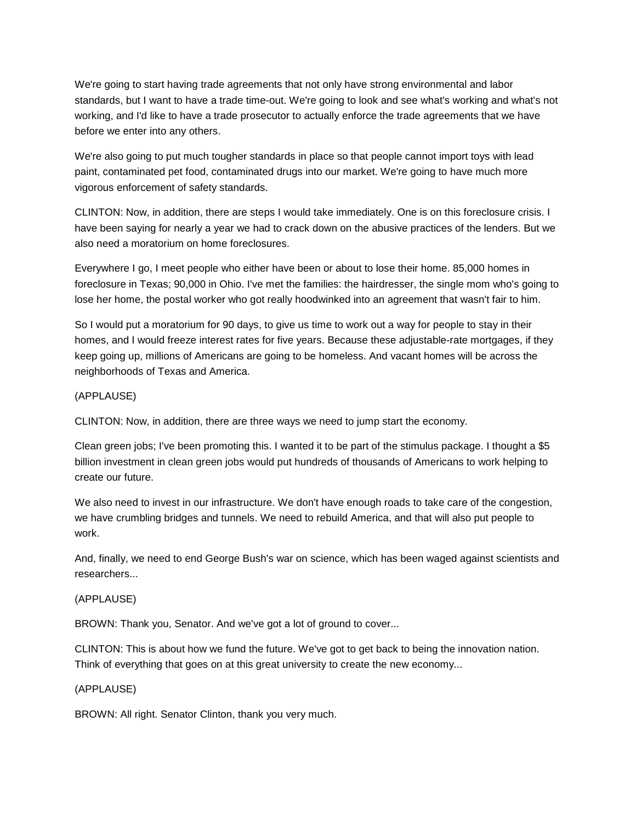We're going to start having trade agreements that not only have strong environmental and labor standards, but I want to have a trade time-out. We're going to look and see what's working and what's not working, and I'd like to have a trade prosecutor to actually enforce the trade agreements that we have before we enter into any others.

We're also going to put much tougher standards in place so that people cannot import toys with lead paint, contaminated pet food, contaminated drugs into our market. We're going to have much more vigorous enforcement of safety standards.

CLINTON: Now, in addition, there are steps I would take immediately. One is on this foreclosure crisis. I have been saying for nearly a year we had to crack down on the abusive practices of the lenders. But we also need a moratorium on home foreclosures.

Everywhere I go, I meet people who either have been or about to lose their home. 85,000 homes in foreclosure in Texas; 90,000 in Ohio. I've met the families: the hairdresser, the single mom who's going to lose her home, the postal worker who got really hoodwinked into an agreement that wasn't fair to him.

So I would put a moratorium for 90 days, to give us time to work out a way for people to stay in their homes, and I would freeze interest rates for five years. Because these adjustable-rate mortgages, if they keep going up, millions of Americans are going to be homeless. And vacant homes will be across the neighborhoods of Texas and America.

## (APPLAUSE)

CLINTON: Now, in addition, there are three ways we need to jump start the economy.

Clean green jobs; I've been promoting this. I wanted it to be part of the stimulus package. I thought a \$5 billion investment in clean green jobs would put hundreds of thousands of Americans to work helping to create our future.

We also need to invest in our infrastructure. We don't have enough roads to take care of the congestion, we have crumbling bridges and tunnels. We need to rebuild America, and that will also put people to work.

And, finally, we need to end George Bush's war on science, which has been waged against scientists and researchers...

# (APPLAUSE)

BROWN: Thank you, Senator. And we've got a lot of ground to cover...

CLINTON: This is about how we fund the future. We've got to get back to being the innovation nation. Think of everything that goes on at this great university to create the new economy...

## (APPLAUSE)

BROWN: All right. Senator Clinton, thank you very much.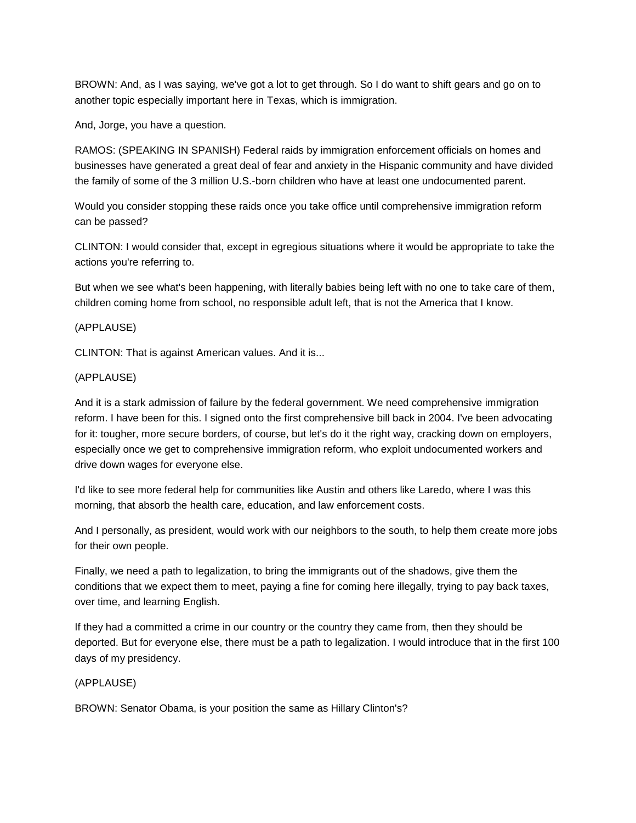BROWN: And, as I was saying, we've got a lot to get through. So I do want to shift gears and go on to another topic especially important here in Texas, which is immigration.

And, Jorge, you have a question.

RAMOS: (SPEAKING IN SPANISH) Federal raids by immigration enforcement officials on homes and businesses have generated a great deal of fear and anxiety in the Hispanic community and have divided the family of some of the 3 million U.S.-born children who have at least one undocumented parent.

Would you consider stopping these raids once you take office until comprehensive immigration reform can be passed?

CLINTON: I would consider that, except in egregious situations where it would be appropriate to take the actions you're referring to.

But when we see what's been happening, with literally babies being left with no one to take care of them, children coming home from school, no responsible adult left, that is not the America that I know.

#### (APPLAUSE)

CLINTON: That is against American values. And it is...

#### (APPLAUSE)

And it is a stark admission of failure by the federal government. We need comprehensive immigration reform. I have been for this. I signed onto the first comprehensive bill back in 2004. I've been advocating for it: tougher, more secure borders, of course, but let's do it the right way, cracking down on employers, especially once we get to comprehensive immigration reform, who exploit undocumented workers and drive down wages for everyone else.

I'd like to see more federal help for communities like Austin and others like Laredo, where I was this morning, that absorb the health care, education, and law enforcement costs.

And I personally, as president, would work with our neighbors to the south, to help them create more jobs for their own people.

Finally, we need a path to legalization, to bring the immigrants out of the shadows, give them the conditions that we expect them to meet, paying a fine for coming here illegally, trying to pay back taxes, over time, and learning English.

If they had a committed a crime in our country or the country they came from, then they should be deported. But for everyone else, there must be a path to legalization. I would introduce that in the first 100 days of my presidency.

#### (APPLAUSE)

BROWN: Senator Obama, is your position the same as Hillary Clinton's?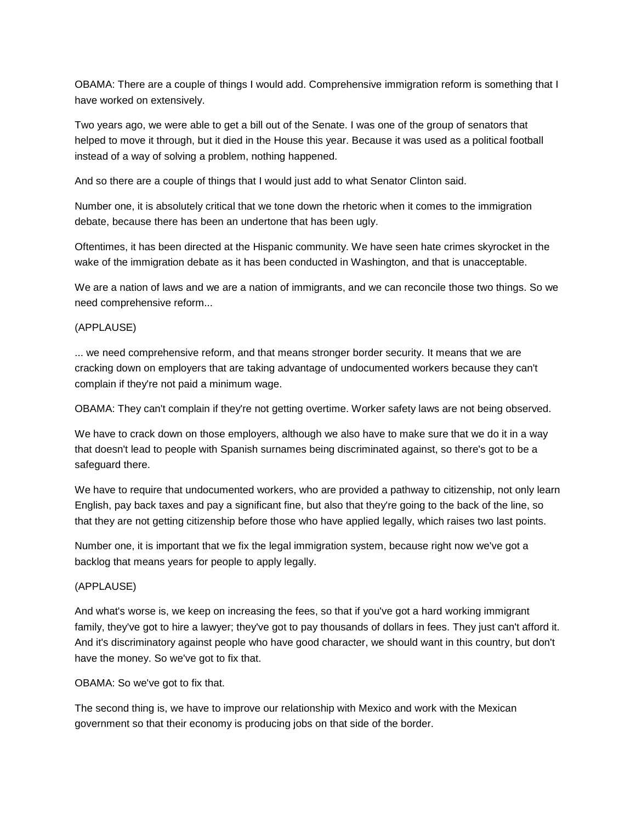OBAMA: There are a couple of things I would add. Comprehensive immigration reform is something that I have worked on extensively.

Two years ago, we were able to get a bill out of the Senate. I was one of the group of senators that helped to move it through, but it died in the House this year. Because it was used as a political football instead of a way of solving a problem, nothing happened.

And so there are a couple of things that I would just add to what Senator Clinton said.

Number one, it is absolutely critical that we tone down the rhetoric when it comes to the immigration debate, because there has been an undertone that has been ugly.

Oftentimes, it has been directed at the Hispanic community. We have seen hate crimes skyrocket in the wake of the immigration debate as it has been conducted in Washington, and that is unacceptable.

We are a nation of laws and we are a nation of immigrants, and we can reconcile those two things. So we need comprehensive reform...

#### (APPLAUSE)

... we need comprehensive reform, and that means stronger border security. It means that we are cracking down on employers that are taking advantage of undocumented workers because they can't complain if they're not paid a minimum wage.

OBAMA: They can't complain if they're not getting overtime. Worker safety laws are not being observed.

We have to crack down on those employers, although we also have to make sure that we do it in a way that doesn't lead to people with Spanish surnames being discriminated against, so there's got to be a safeguard there.

We have to require that undocumented workers, who are provided a pathway to citizenship, not only learn English, pay back taxes and pay a significant fine, but also that they're going to the back of the line, so that they are not getting citizenship before those who have applied legally, which raises two last points.

Number one, it is important that we fix the legal immigration system, because right now we've got a backlog that means years for people to apply legally.

#### (APPLAUSE)

And what's worse is, we keep on increasing the fees, so that if you've got a hard working immigrant family, they've got to hire a lawyer; they've got to pay thousands of dollars in fees. They just can't afford it. And it's discriminatory against people who have good character, we should want in this country, but don't have the money. So we've got to fix that.

OBAMA: So we've got to fix that.

The second thing is, we have to improve our relationship with Mexico and work with the Mexican government so that their economy is producing jobs on that side of the border.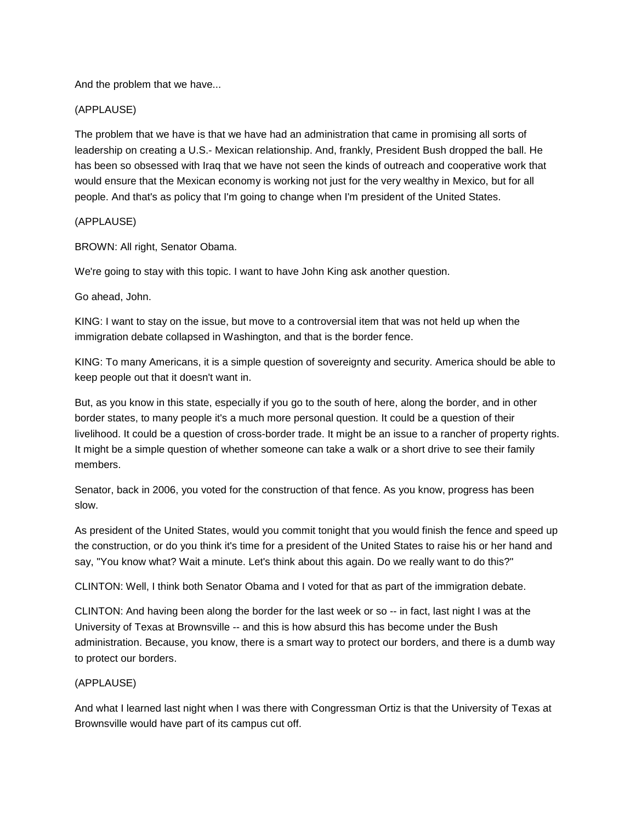And the problem that we have...

(APPLAUSE)

The problem that we have is that we have had an administration that came in promising all sorts of leadership on creating a U.S.- Mexican relationship. And, frankly, President Bush dropped the ball. He has been so obsessed with Iraq that we have not seen the kinds of outreach and cooperative work that would ensure that the Mexican economy is working not just for the very wealthy in Mexico, but for all people. And that's as policy that I'm going to change when I'm president of the United States.

(APPLAUSE)

BROWN: All right, Senator Obama.

We're going to stay with this topic. I want to have John King ask another question.

Go ahead, John.

KING: I want to stay on the issue, but move to a controversial item that was not held up when the immigration debate collapsed in Washington, and that is the border fence.

KING: To many Americans, it is a simple question of sovereignty and security. America should be able to keep people out that it doesn't want in.

But, as you know in this state, especially if you go to the south of here, along the border, and in other border states, to many people it's a much more personal question. It could be a question of their livelihood. It could be a question of cross-border trade. It might be an issue to a rancher of property rights. It might be a simple question of whether someone can take a walk or a short drive to see their family members.

Senator, back in 2006, you voted for the construction of that fence. As you know, progress has been slow.

As president of the United States, would you commit tonight that you would finish the fence and speed up the construction, or do you think it's time for a president of the United States to raise his or her hand and say, "You know what? Wait a minute. Let's think about this again. Do we really want to do this?"

CLINTON: Well, I think both Senator Obama and I voted for that as part of the immigration debate.

CLINTON: And having been along the border for the last week or so -- in fact, last night I was at the University of Texas at Brownsville -- and this is how absurd this has become under the Bush administration. Because, you know, there is a smart way to protect our borders, and there is a dumb way to protect our borders.

## (APPLAUSE)

And what I learned last night when I was there with Congressman Ortiz is that the University of Texas at Brownsville would have part of its campus cut off.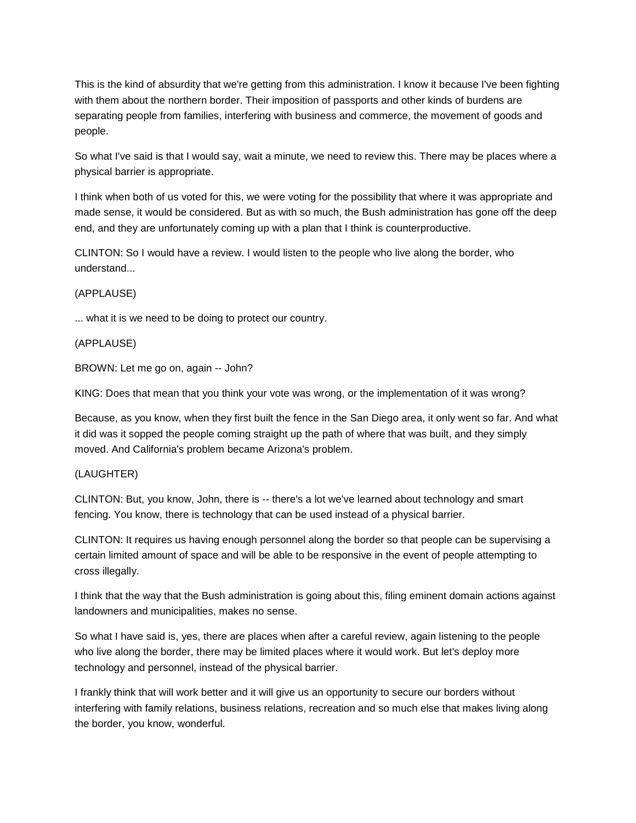This is the kind of absurdity that we're getting from this administration. I know it because I've been fighting with them about the northern border. Their imposition of passports and other kinds of burdens are separating people from families, interfering with business and commerce, the movement of goods and people.

So what I've said is that I would say, wait a minute, we need to review this. There may be places where a physical barrier is appropriate.

I think when both of us voted for this, we were voting for the possibility that where it was appropriate and made sense, it would be considered. But as with so much, the Bush administration has gone off the deep end, and they are unfortunately coming up with a plan that I think is counterproductive.

CLINTON: So I would have a review. I would listen to the people who live along the border, who understand...

## (APPLAUSE)

... what it is we need to be doing to protect our country.

## (APPLAUSE)

BROWN: Let me go on, again -- John?

KING: Does that mean that you think your vote was wrong, or the implementation of it was wrong?

Because, as you know, when they first built the fence in the San Diego area, it only went so far. And what it did was it sopped the people coming straight up the path of where that was built, and they simply moved. And California's problem became Arizona's problem.

# (LAUGHTER)

CLINTON: But, you know, John, there is -- there's a lot we've learned about technology and smart fencing. You know, there is technology that can be used instead of a physical barrier.

CLINTON: It requires us having enough personnel along the border so that people can be supervising a certain limited amount of space and will be able to be responsive in the event of people attempting to cross illegally.

I think that the way that the Bush administration is going about this, filing eminent domain actions against landowners and municipalities, makes no sense.

So what I have said is, yes, there are places when after a careful review, again listening to the people who live along the border, there may be limited places where it would work. But let's deploy more technology and personnel, instead of the physical barrier.

I frankly think that will work better and it will give us an opportunity to secure our borders without interfering with family relations, business relations, recreation and so much else that makes living along the border, you know, wonderful.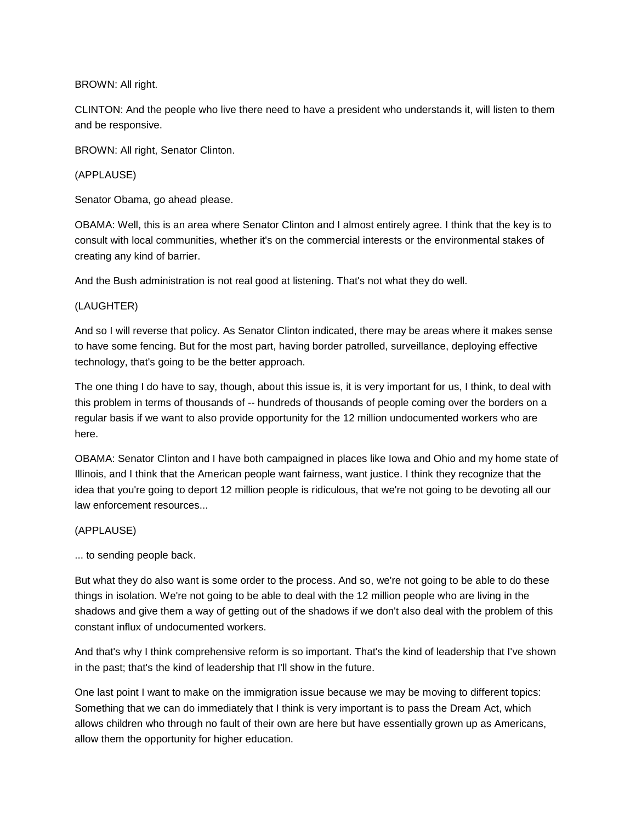## BROWN: All right.

CLINTON: And the people who live there need to have a president who understands it, will listen to them and be responsive.

BROWN: All right, Senator Clinton.

(APPLAUSE)

Senator Obama, go ahead please.

OBAMA: Well, this is an area where Senator Clinton and I almost entirely agree. I think that the key is to consult with local communities, whether it's on the commercial interests or the environmental stakes of creating any kind of barrier.

And the Bush administration is not real good at listening. That's not what they do well.

## (LAUGHTER)

And so I will reverse that policy. As Senator Clinton indicated, there may be areas where it makes sense to have some fencing. But for the most part, having border patrolled, surveillance, deploying effective technology, that's going to be the better approach.

The one thing I do have to say, though, about this issue is, it is very important for us, I think, to deal with this problem in terms of thousands of -- hundreds of thousands of people coming over the borders on a regular basis if we want to also provide opportunity for the 12 million undocumented workers who are here.

OBAMA: Senator Clinton and I have both campaigned in places like Iowa and Ohio and my home state of Illinois, and I think that the American people want fairness, want justice. I think they recognize that the idea that you're going to deport 12 million people is ridiculous, that we're not going to be devoting all our law enforcement resources...

## (APPLAUSE)

... to sending people back.

But what they do also want is some order to the process. And so, we're not going to be able to do these things in isolation. We're not going to be able to deal with the 12 million people who are living in the shadows and give them a way of getting out of the shadows if we don't also deal with the problem of this constant influx of undocumented workers.

And that's why I think comprehensive reform is so important. That's the kind of leadership that I've shown in the past; that's the kind of leadership that I'll show in the future.

One last point I want to make on the immigration issue because we may be moving to different topics: Something that we can do immediately that I think is very important is to pass the Dream Act, which allows children who through no fault of their own are here but have essentially grown up as Americans, allow them the opportunity for higher education.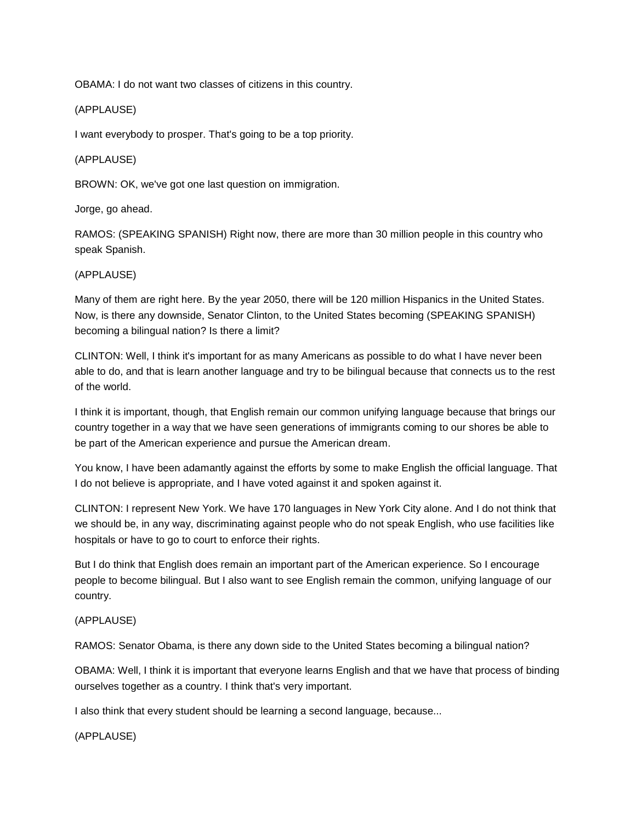OBAMA: I do not want two classes of citizens in this country.

(APPLAUSE)

I want everybody to prosper. That's going to be a top priority.

(APPLAUSE)

BROWN: OK, we've got one last question on immigration.

Jorge, go ahead.

RAMOS: (SPEAKING SPANISH) Right now, there are more than 30 million people in this country who speak Spanish.

## (APPLAUSE)

Many of them are right here. By the year 2050, there will be 120 million Hispanics in the United States. Now, is there any downside, Senator Clinton, to the United States becoming (SPEAKING SPANISH) becoming a bilingual nation? Is there a limit?

CLINTON: Well, I think it's important for as many Americans as possible to do what I have never been able to do, and that is learn another language and try to be bilingual because that connects us to the rest of the world.

I think it is important, though, that English remain our common unifying language because that brings our country together in a way that we have seen generations of immigrants coming to our shores be able to be part of the American experience and pursue the American dream.

You know, I have been adamantly against the efforts by some to make English the official language. That I do not believe is appropriate, and I have voted against it and spoken against it.

CLINTON: I represent New York. We have 170 languages in New York City alone. And I do not think that we should be, in any way, discriminating against people who do not speak English, who use facilities like hospitals or have to go to court to enforce their rights.

But I do think that English does remain an important part of the American experience. So I encourage people to become bilingual. But I also want to see English remain the common, unifying language of our country.

## (APPLAUSE)

RAMOS: Senator Obama, is there any down side to the United States becoming a bilingual nation?

OBAMA: Well, I think it is important that everyone learns English and that we have that process of binding ourselves together as a country. I think that's very important.

I also think that every student should be learning a second language, because...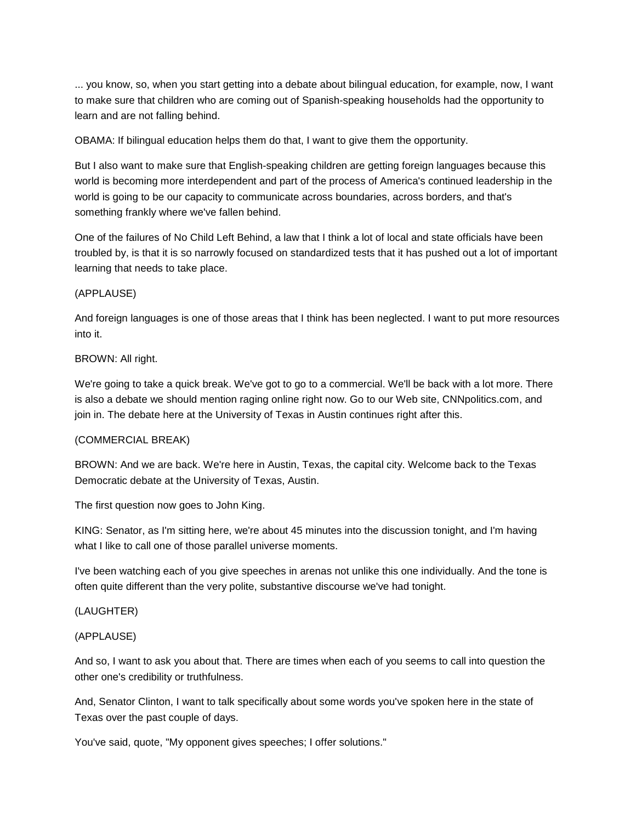... you know, so, when you start getting into a debate about bilingual education, for example, now, I want to make sure that children who are coming out of Spanish-speaking households had the opportunity to learn and are not falling behind.

OBAMA: If bilingual education helps them do that, I want to give them the opportunity.

But I also want to make sure that English-speaking children are getting foreign languages because this world is becoming more interdependent and part of the process of America's continued leadership in the world is going to be our capacity to communicate across boundaries, across borders, and that's something frankly where we've fallen behind.

One of the failures of No Child Left Behind, a law that I think a lot of local and state officials have been troubled by, is that it is so narrowly focused on standardized tests that it has pushed out a lot of important learning that needs to take place.

## (APPLAUSE)

And foreign languages is one of those areas that I think has been neglected. I want to put more resources into it.

#### BROWN: All right.

We're going to take a quick break. We've got to go to a commercial. We'll be back with a lot more. There is also a debate we should mention raging online right now. Go to our Web site, CNNpolitics.com, and join in. The debate here at the University of Texas in Austin continues right after this.

## (COMMERCIAL BREAK)

BROWN: And we are back. We're here in Austin, Texas, the capital city. Welcome back to the Texas Democratic debate at the University of Texas, Austin.

The first question now goes to John King.

KING: Senator, as I'm sitting here, we're about 45 minutes into the discussion tonight, and I'm having what I like to call one of those parallel universe moments.

I've been watching each of you give speeches in arenas not unlike this one individually. And the tone is often quite different than the very polite, substantive discourse we've had tonight.

## (LAUGHTER)

#### (APPLAUSE)

And so, I want to ask you about that. There are times when each of you seems to call into question the other one's credibility or truthfulness.

And, Senator Clinton, I want to talk specifically about some words you've spoken here in the state of Texas over the past couple of days.

You've said, quote, "My opponent gives speeches; I offer solutions."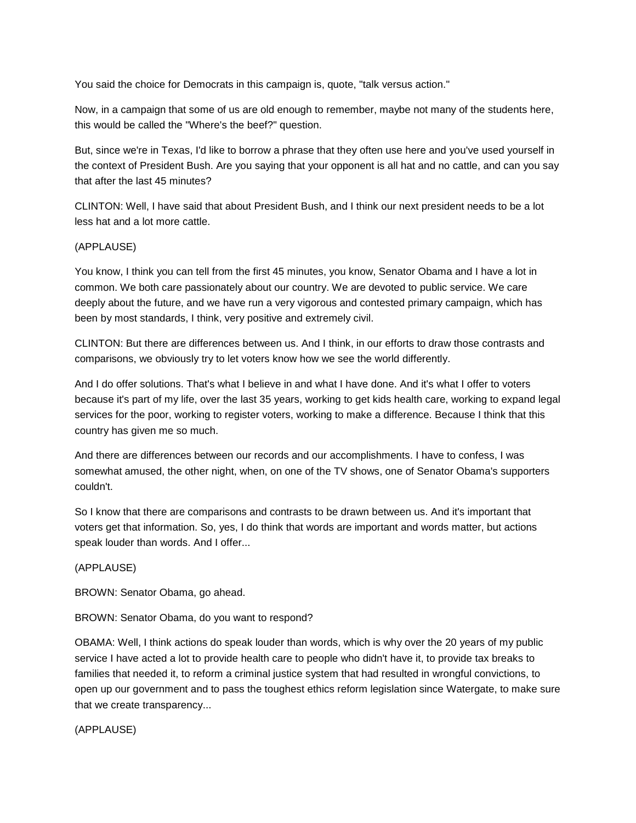You said the choice for Democrats in this campaign is, quote, "talk versus action."

Now, in a campaign that some of us are old enough to remember, maybe not many of the students here, this would be called the "Where's the beef?" question.

But, since we're in Texas, I'd like to borrow a phrase that they often use here and you've used yourself in the context of President Bush. Are you saying that your opponent is all hat and no cattle, and can you say that after the last 45 minutes?

CLINTON: Well, I have said that about President Bush, and I think our next president needs to be a lot less hat and a lot more cattle.

## (APPLAUSE)

You know, I think you can tell from the first 45 minutes, you know, Senator Obama and I have a lot in common. We both care passionately about our country. We are devoted to public service. We care deeply about the future, and we have run a very vigorous and contested primary campaign, which has been by most standards, I think, very positive and extremely civil.

CLINTON: But there are differences between us. And I think, in our efforts to draw those contrasts and comparisons, we obviously try to let voters know how we see the world differently.

And I do offer solutions. That's what I believe in and what I have done. And it's what I offer to voters because it's part of my life, over the last 35 years, working to get kids health care, working to expand legal services for the poor, working to register voters, working to make a difference. Because I think that this country has given me so much.

And there are differences between our records and our accomplishments. I have to confess, I was somewhat amused, the other night, when, on one of the TV shows, one of Senator Obama's supporters couldn't.

So I know that there are comparisons and contrasts to be drawn between us. And it's important that voters get that information. So, yes, I do think that words are important and words matter, but actions speak louder than words. And I offer...

## (APPLAUSE)

BROWN: Senator Obama, go ahead.

BROWN: Senator Obama, do you want to respond?

OBAMA: Well, I think actions do speak louder than words, which is why over the 20 years of my public service I have acted a lot to provide health care to people who didn't have it, to provide tax breaks to families that needed it, to reform a criminal justice system that had resulted in wrongful convictions, to open up our government and to pass the toughest ethics reform legislation since Watergate, to make sure that we create transparency...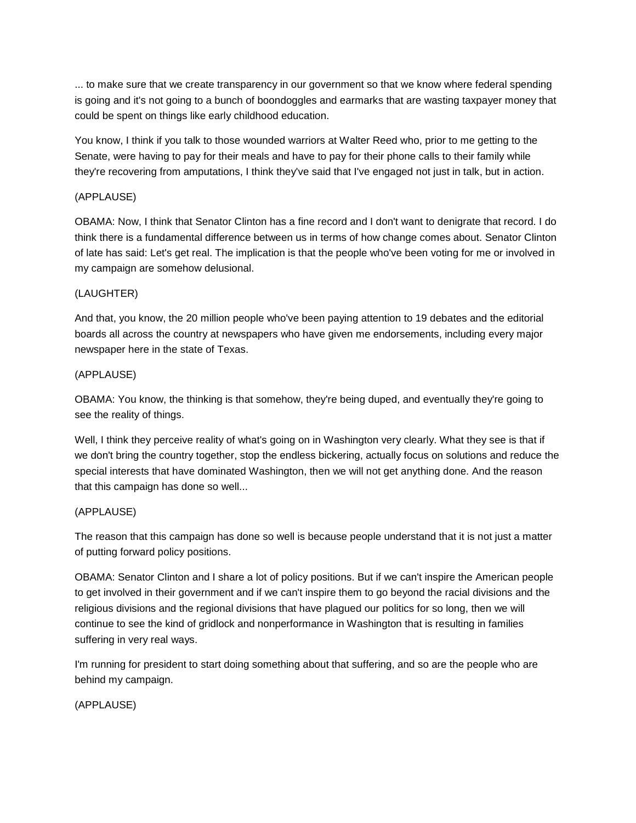... to make sure that we create transparency in our government so that we know where federal spending is going and it's not going to a bunch of boondoggles and earmarks that are wasting taxpayer money that could be spent on things like early childhood education.

You know, I think if you talk to those wounded warriors at Walter Reed who, prior to me getting to the Senate, were having to pay for their meals and have to pay for their phone calls to their family while they're recovering from amputations, I think they've said that I've engaged not just in talk, but in action.

## (APPLAUSE)

OBAMA: Now, I think that Senator Clinton has a fine record and I don't want to denigrate that record. I do think there is a fundamental difference between us in terms of how change comes about. Senator Clinton of late has said: Let's get real. The implication is that the people who've been voting for me or involved in my campaign are somehow delusional.

## (LAUGHTER)

And that, you know, the 20 million people who've been paying attention to 19 debates and the editorial boards all across the country at newspapers who have given me endorsements, including every major newspaper here in the state of Texas.

## (APPLAUSE)

OBAMA: You know, the thinking is that somehow, they're being duped, and eventually they're going to see the reality of things.

Well, I think they perceive reality of what's going on in Washington very clearly. What they see is that if we don't bring the country together, stop the endless bickering, actually focus on solutions and reduce the special interests that have dominated Washington, then we will not get anything done. And the reason that this campaign has done so well...

## (APPLAUSE)

The reason that this campaign has done so well is because people understand that it is not just a matter of putting forward policy positions.

OBAMA: Senator Clinton and I share a lot of policy positions. But if we can't inspire the American people to get involved in their government and if we can't inspire them to go beyond the racial divisions and the religious divisions and the regional divisions that have plagued our politics for so long, then we will continue to see the kind of gridlock and nonperformance in Washington that is resulting in families suffering in very real ways.

I'm running for president to start doing something about that suffering, and so are the people who are behind my campaign.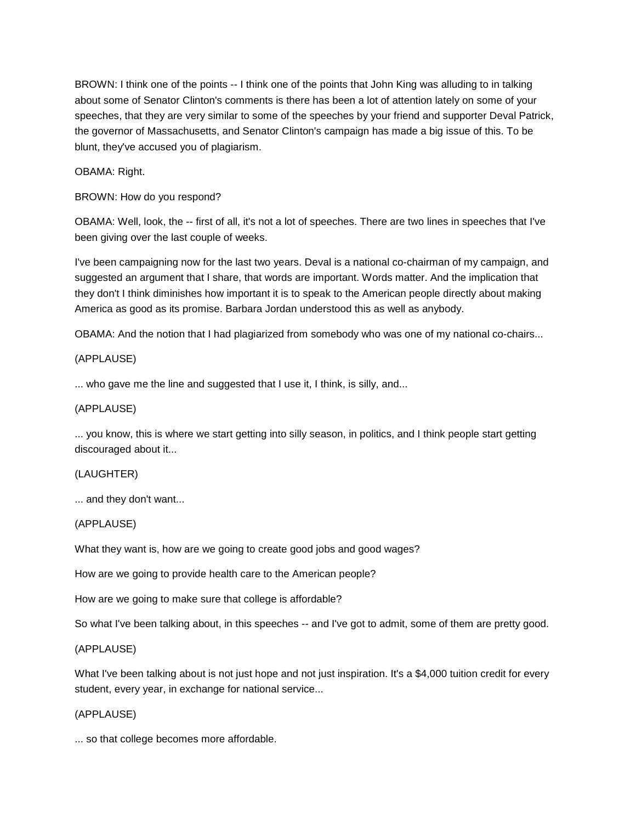BROWN: I think one of the points -- I think one of the points that John King was alluding to in talking about some of Senator Clinton's comments is there has been a lot of attention lately on some of your speeches, that they are very similar to some of the speeches by your friend and supporter Deval Patrick, the governor of Massachusetts, and Senator Clinton's campaign has made a big issue of this. To be blunt, they've accused you of plagiarism.

## OBAMA: Right.

BROWN: How do you respond?

OBAMA: Well, look, the -- first of all, it's not a lot of speeches. There are two lines in speeches that I've been giving over the last couple of weeks.

I've been campaigning now for the last two years. Deval is a national co-chairman of my campaign, and suggested an argument that I share, that words are important. Words matter. And the implication that they don't I think diminishes how important it is to speak to the American people directly about making America as good as its promise. Barbara Jordan understood this as well as anybody.

OBAMA: And the notion that I had plagiarized from somebody who was one of my national co-chairs...

(APPLAUSE)

... who gave me the line and suggested that I use it, I think, is silly, and...

## (APPLAUSE)

... you know, this is where we start getting into silly season, in politics, and I think people start getting discouraged about it...

# (LAUGHTER)

... and they don't want...

## (APPLAUSE)

What they want is, how are we going to create good jobs and good wages?

How are we going to provide health care to the American people?

How are we going to make sure that college is affordable?

So what I've been talking about, in this speeches -- and I've got to admit, some of them are pretty good.

## (APPLAUSE)

What I've been talking about is not just hope and not just inspiration. It's a \$4,000 tuition credit for every student, every year, in exchange for national service...

## (APPLAUSE)

... so that college becomes more affordable.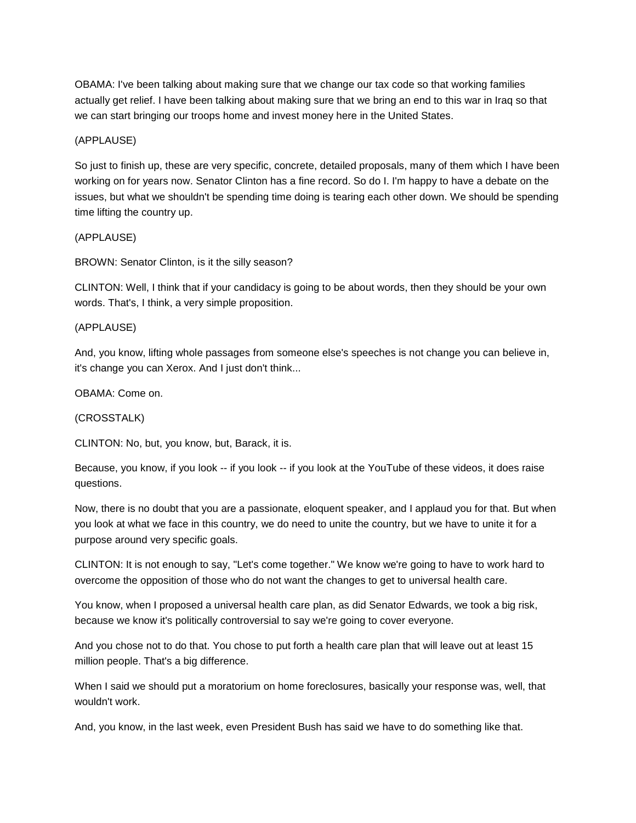OBAMA: I've been talking about making sure that we change our tax code so that working families actually get relief. I have been talking about making sure that we bring an end to this war in Iraq so that we can start bringing our troops home and invest money here in the United States.

## (APPLAUSE)

So just to finish up, these are very specific, concrete, detailed proposals, many of them which I have been working on for years now. Senator Clinton has a fine record. So do I. I'm happy to have a debate on the issues, but what we shouldn't be spending time doing is tearing each other down. We should be spending time lifting the country up.

## (APPLAUSE)

BROWN: Senator Clinton, is it the silly season?

CLINTON: Well, I think that if your candidacy is going to be about words, then they should be your own words. That's, I think, a very simple proposition.

## (APPLAUSE)

And, you know, lifting whole passages from someone else's speeches is not change you can believe in, it's change you can Xerox. And I just don't think...

OBAMA: Come on.

## (CROSSTALK)

CLINTON: No, but, you know, but, Barack, it is.

Because, you know, if you look -- if you look -- if you look at the YouTube of these videos, it does raise questions.

Now, there is no doubt that you are a passionate, eloquent speaker, and I applaud you for that. But when you look at what we face in this country, we do need to unite the country, but we have to unite it for a purpose around very specific goals.

CLINTON: It is not enough to say, "Let's come together." We know we're going to have to work hard to overcome the opposition of those who do not want the changes to get to universal health care.

You know, when I proposed a universal health care plan, as did Senator Edwards, we took a big risk, because we know it's politically controversial to say we're going to cover everyone.

And you chose not to do that. You chose to put forth a health care plan that will leave out at least 15 million people. That's a big difference.

When I said we should put a moratorium on home foreclosures, basically your response was, well, that wouldn't work.

And, you know, in the last week, even President Bush has said we have to do something like that.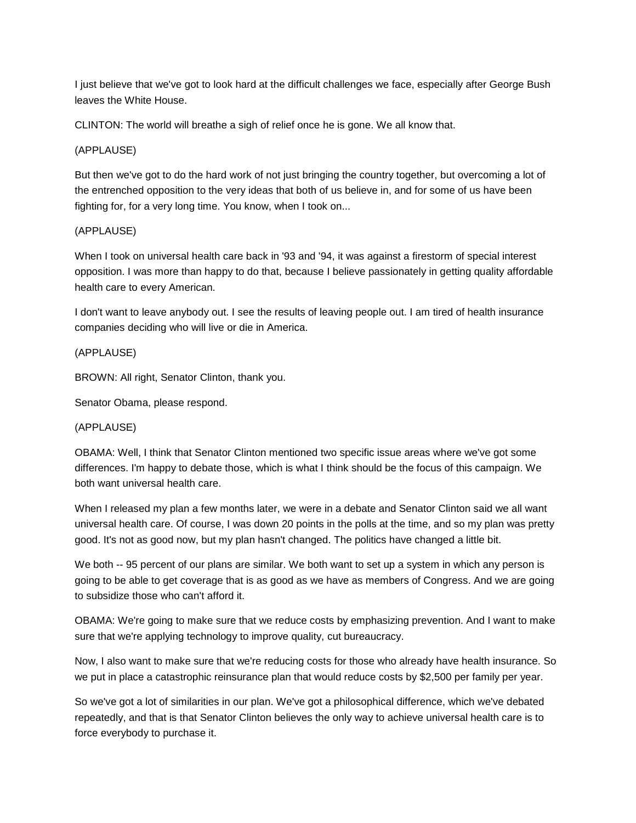I just believe that we've got to look hard at the difficult challenges we face, especially after George Bush leaves the White House.

CLINTON: The world will breathe a sigh of relief once he is gone. We all know that.

## (APPLAUSE)

But then we've got to do the hard work of not just bringing the country together, but overcoming a lot of the entrenched opposition to the very ideas that both of us believe in, and for some of us have been fighting for, for a very long time. You know, when I took on...

## (APPLAUSE)

When I took on universal health care back in '93 and '94, it was against a firestorm of special interest opposition. I was more than happy to do that, because I believe passionately in getting quality affordable health care to every American.

I don't want to leave anybody out. I see the results of leaving people out. I am tired of health insurance companies deciding who will live or die in America.

## (APPLAUSE)

BROWN: All right, Senator Clinton, thank you.

Senator Obama, please respond.

## (APPLAUSE)

OBAMA: Well, I think that Senator Clinton mentioned two specific issue areas where we've got some differences. I'm happy to debate those, which is what I think should be the focus of this campaign. We both want universal health care.

When I released my plan a few months later, we were in a debate and Senator Clinton said we all want universal health care. Of course, I was down 20 points in the polls at the time, and so my plan was pretty good. It's not as good now, but my plan hasn't changed. The politics have changed a little bit.

We both -- 95 percent of our plans are similar. We both want to set up a system in which any person is going to be able to get coverage that is as good as we have as members of Congress. And we are going to subsidize those who can't afford it.

OBAMA: We're going to make sure that we reduce costs by emphasizing prevention. And I want to make sure that we're applying technology to improve quality, cut bureaucracy.

Now, I also want to make sure that we're reducing costs for those who already have health insurance. So we put in place a catastrophic reinsurance plan that would reduce costs by \$2,500 per family per year.

So we've got a lot of similarities in our plan. We've got a philosophical difference, which we've debated repeatedly, and that is that Senator Clinton believes the only way to achieve universal health care is to force everybody to purchase it.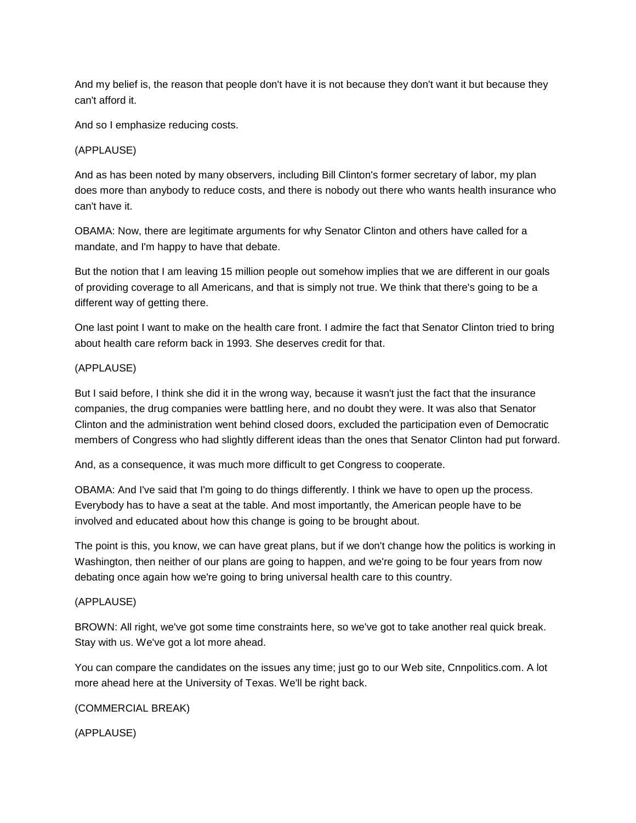And my belief is, the reason that people don't have it is not because they don't want it but because they can't afford it.

And so I emphasize reducing costs.

#### (APPLAUSE)

And as has been noted by many observers, including Bill Clinton's former secretary of labor, my plan does more than anybody to reduce costs, and there is nobody out there who wants health insurance who can't have it.

OBAMA: Now, there are legitimate arguments for why Senator Clinton and others have called for a mandate, and I'm happy to have that debate.

But the notion that I am leaving 15 million people out somehow implies that we are different in our goals of providing coverage to all Americans, and that is simply not true. We think that there's going to be a different way of getting there.

One last point I want to make on the health care front. I admire the fact that Senator Clinton tried to bring about health care reform back in 1993. She deserves credit for that.

## (APPLAUSE)

But I said before, I think she did it in the wrong way, because it wasn't just the fact that the insurance companies, the drug companies were battling here, and no doubt they were. It was also that Senator Clinton and the administration went behind closed doors, excluded the participation even of Democratic members of Congress who had slightly different ideas than the ones that Senator Clinton had put forward.

And, as a consequence, it was much more difficult to get Congress to cooperate.

OBAMA: And I've said that I'm going to do things differently. I think we have to open up the process. Everybody has to have a seat at the table. And most importantly, the American people have to be involved and educated about how this change is going to be brought about.

The point is this, you know, we can have great plans, but if we don't change how the politics is working in Washington, then neither of our plans are going to happen, and we're going to be four years from now debating once again how we're going to bring universal health care to this country.

#### (APPLAUSE)

BROWN: All right, we've got some time constraints here, so we've got to take another real quick break. Stay with us. We've got a lot more ahead.

You can compare the candidates on the issues any time; just go to our Web site, Cnnpolitics.com. A lot more ahead here at the University of Texas. We'll be right back.

(COMMERCIAL BREAK)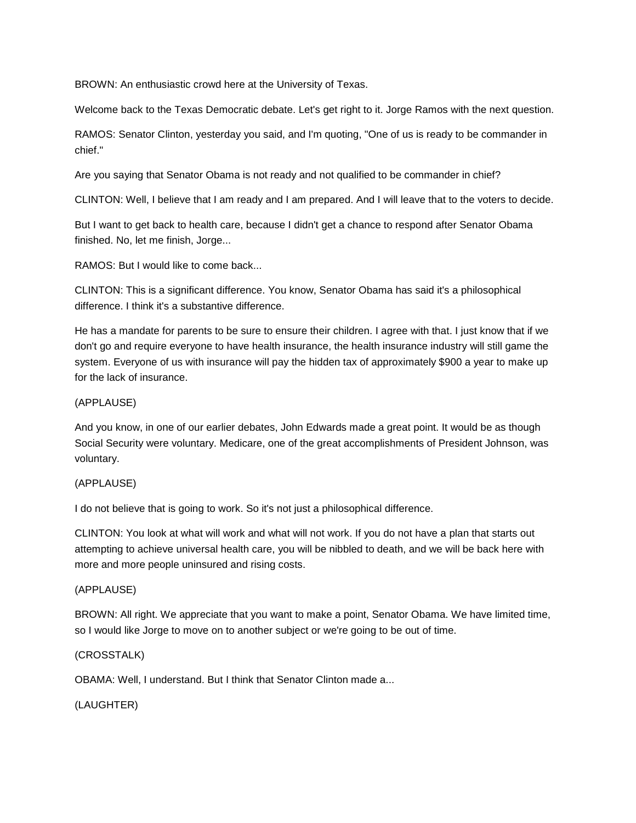BROWN: An enthusiastic crowd here at the University of Texas.

Welcome back to the Texas Democratic debate. Let's get right to it. Jorge Ramos with the next question.

RAMOS: Senator Clinton, yesterday you said, and I'm quoting, "One of us is ready to be commander in chief."

Are you saying that Senator Obama is not ready and not qualified to be commander in chief?

CLINTON: Well, I believe that I am ready and I am prepared. And I will leave that to the voters to decide.

But I want to get back to health care, because I didn't get a chance to respond after Senator Obama finished. No, let me finish, Jorge...

RAMOS: But I would like to come back...

CLINTON: This is a significant difference. You know, Senator Obama has said it's a philosophical difference. I think it's a substantive difference.

He has a mandate for parents to be sure to ensure their children. I agree with that. I just know that if we don't go and require everyone to have health insurance, the health insurance industry will still game the system. Everyone of us with insurance will pay the hidden tax of approximately \$900 a year to make up for the lack of insurance.

## (APPLAUSE)

And you know, in one of our earlier debates, John Edwards made a great point. It would be as though Social Security were voluntary. Medicare, one of the great accomplishments of President Johnson, was voluntary.

## (APPLAUSE)

I do not believe that is going to work. So it's not just a philosophical difference.

CLINTON: You look at what will work and what will not work. If you do not have a plan that starts out attempting to achieve universal health care, you will be nibbled to death, and we will be back here with more and more people uninsured and rising costs.

## (APPLAUSE)

BROWN: All right. We appreciate that you want to make a point, Senator Obama. We have limited time, so I would like Jorge to move on to another subject or we're going to be out of time.

# (CROSSTALK)

OBAMA: Well, I understand. But I think that Senator Clinton made a...

# (LAUGHTER)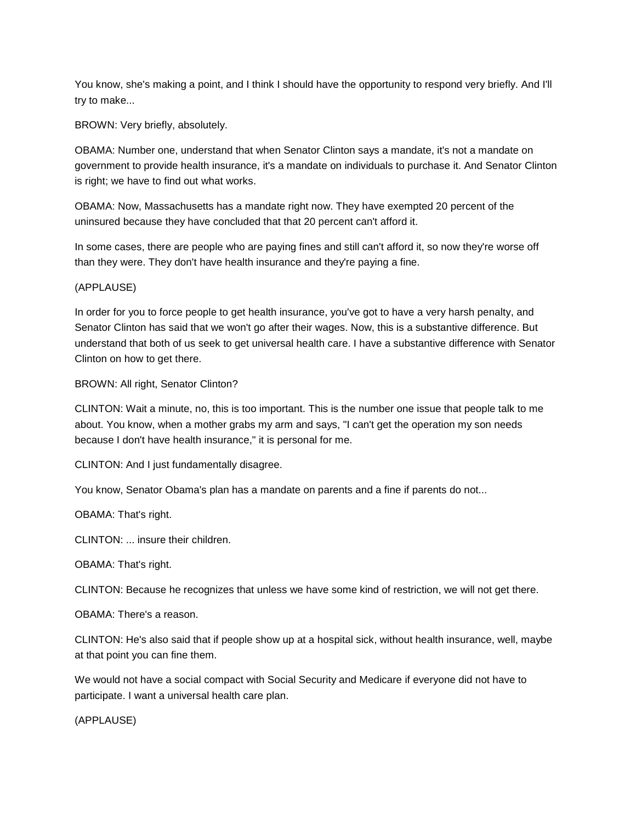You know, she's making a point, and I think I should have the opportunity to respond very briefly. And I'll try to make...

BROWN: Very briefly, absolutely.

OBAMA: Number one, understand that when Senator Clinton says a mandate, it's not a mandate on government to provide health insurance, it's a mandate on individuals to purchase it. And Senator Clinton is right; we have to find out what works.

OBAMA: Now, Massachusetts has a mandate right now. They have exempted 20 percent of the uninsured because they have concluded that that 20 percent can't afford it.

In some cases, there are people who are paying fines and still can't afford it, so now they're worse off than they were. They don't have health insurance and they're paying a fine.

#### (APPLAUSE)

In order for you to force people to get health insurance, you've got to have a very harsh penalty, and Senator Clinton has said that we won't go after their wages. Now, this is a substantive difference. But understand that both of us seek to get universal health care. I have a substantive difference with Senator Clinton on how to get there.

## BROWN: All right, Senator Clinton?

CLINTON: Wait a minute, no, this is too important. This is the number one issue that people talk to me about. You know, when a mother grabs my arm and says, "I can't get the operation my son needs because I don't have health insurance," it is personal for me.

CLINTON: And I just fundamentally disagree.

You know, Senator Obama's plan has a mandate on parents and a fine if parents do not...

OBAMA: That's right.

CLINTON: ... insure their children.

OBAMA: That's right.

CLINTON: Because he recognizes that unless we have some kind of restriction, we will not get there.

OBAMA: There's a reason.

CLINTON: He's also said that if people show up at a hospital sick, without health insurance, well, maybe at that point you can fine them.

We would not have a social compact with Social Security and Medicare if everyone did not have to participate. I want a universal health care plan.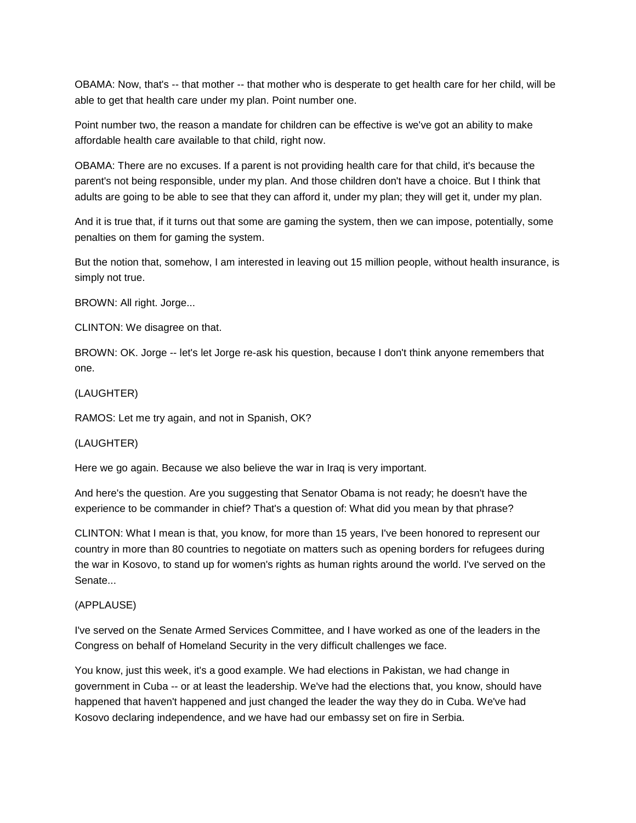OBAMA: Now, that's -- that mother -- that mother who is desperate to get health care for her child, will be able to get that health care under my plan. Point number one.

Point number two, the reason a mandate for children can be effective is we've got an ability to make affordable health care available to that child, right now.

OBAMA: There are no excuses. If a parent is not providing health care for that child, it's because the parent's not being responsible, under my plan. And those children don't have a choice. But I think that adults are going to be able to see that they can afford it, under my plan; they will get it, under my plan.

And it is true that, if it turns out that some are gaming the system, then we can impose, potentially, some penalties on them for gaming the system.

But the notion that, somehow, I am interested in leaving out 15 million people, without health insurance, is simply not true.

BROWN: All right. Jorge...

CLINTON: We disagree on that.

BROWN: OK. Jorge -- let's let Jorge re-ask his question, because I don't think anyone remembers that one.

## (LAUGHTER)

RAMOS: Let me try again, and not in Spanish, OK?

#### (LAUGHTER)

Here we go again. Because we also believe the war in Iraq is very important.

And here's the question. Are you suggesting that Senator Obama is not ready; he doesn't have the experience to be commander in chief? That's a question of: What did you mean by that phrase?

CLINTON: What I mean is that, you know, for more than 15 years, I've been honored to represent our country in more than 80 countries to negotiate on matters such as opening borders for refugees during the war in Kosovo, to stand up for women's rights as human rights around the world. I've served on the Senate...

#### (APPLAUSE)

I've served on the Senate Armed Services Committee, and I have worked as one of the leaders in the Congress on behalf of Homeland Security in the very difficult challenges we face.

You know, just this week, it's a good example. We had elections in Pakistan, we had change in government in Cuba -- or at least the leadership. We've had the elections that, you know, should have happened that haven't happened and just changed the leader the way they do in Cuba. We've had Kosovo declaring independence, and we have had our embassy set on fire in Serbia.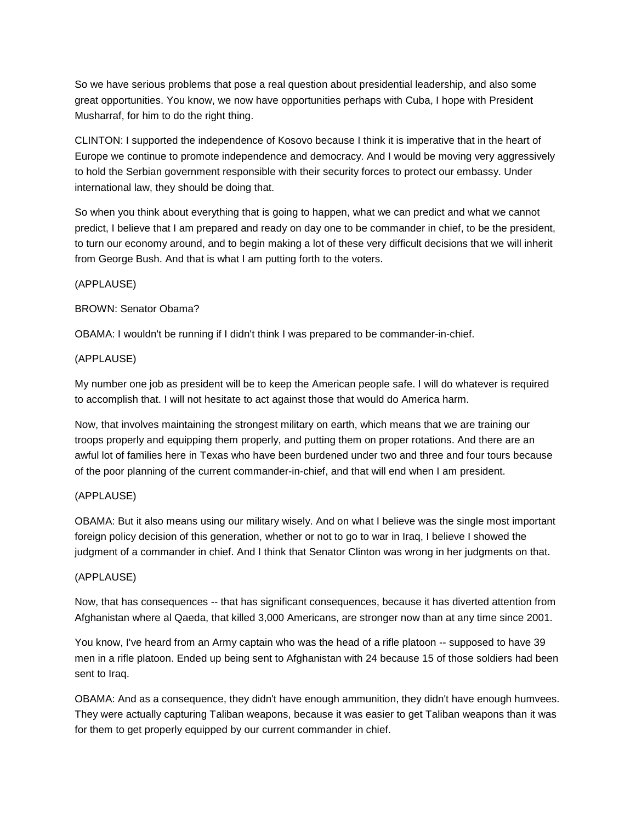So we have serious problems that pose a real question about presidential leadership, and also some great opportunities. You know, we now have opportunities perhaps with Cuba, I hope with President Musharraf, for him to do the right thing.

CLINTON: I supported the independence of Kosovo because I think it is imperative that in the heart of Europe we continue to promote independence and democracy. And I would be moving very aggressively to hold the Serbian government responsible with their security forces to protect our embassy. Under international law, they should be doing that.

So when you think about everything that is going to happen, what we can predict and what we cannot predict, I believe that I am prepared and ready on day one to be commander in chief, to be the president, to turn our economy around, and to begin making a lot of these very difficult decisions that we will inherit from George Bush. And that is what I am putting forth to the voters.

## (APPLAUSE)

## BROWN: Senator Obama?

OBAMA: I wouldn't be running if I didn't think I was prepared to be commander-in-chief.

## (APPLAUSE)

My number one job as president will be to keep the American people safe. I will do whatever is required to accomplish that. I will not hesitate to act against those that would do America harm.

Now, that involves maintaining the strongest military on earth, which means that we are training our troops properly and equipping them properly, and putting them on proper rotations. And there are an awful lot of families here in Texas who have been burdened under two and three and four tours because of the poor planning of the current commander-in-chief, and that will end when I am president.

## (APPLAUSE)

OBAMA: But it also means using our military wisely. And on what I believe was the single most important foreign policy decision of this generation, whether or not to go to war in Iraq, I believe I showed the judgment of a commander in chief. And I think that Senator Clinton was wrong in her judgments on that.

## (APPLAUSE)

Now, that has consequences -- that has significant consequences, because it has diverted attention from Afghanistan where al Qaeda, that killed 3,000 Americans, are stronger now than at any time since 2001.

You know, I've heard from an Army captain who was the head of a rifle platoon -- supposed to have 39 men in a rifle platoon. Ended up being sent to Afghanistan with 24 because 15 of those soldiers had been sent to Iraq.

OBAMA: And as a consequence, they didn't have enough ammunition, they didn't have enough humvees. They were actually capturing Taliban weapons, because it was easier to get Taliban weapons than it was for them to get properly equipped by our current commander in chief.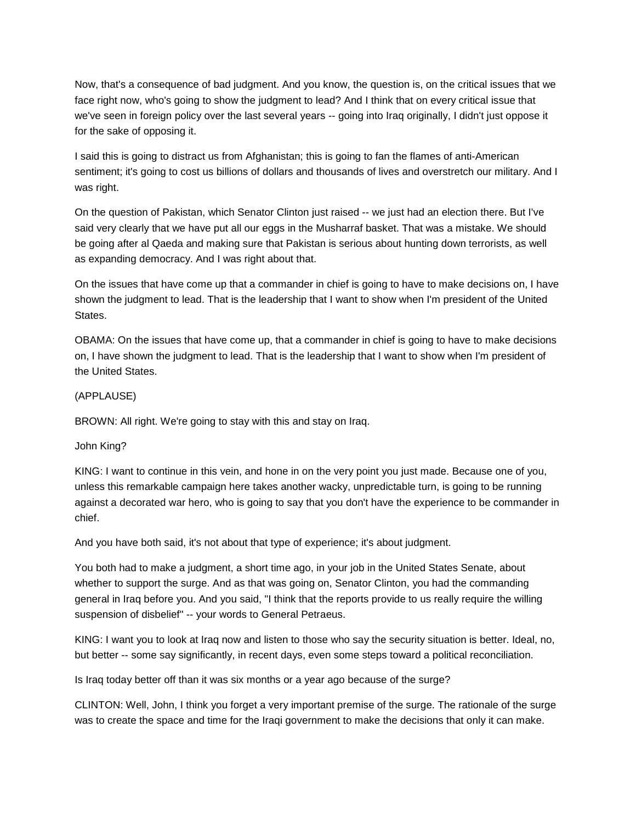Now, that's a consequence of bad judgment. And you know, the question is, on the critical issues that we face right now, who's going to show the judgment to lead? And I think that on every critical issue that we've seen in foreign policy over the last several years -- going into Iraq originally, I didn't just oppose it for the sake of opposing it.

I said this is going to distract us from Afghanistan; this is going to fan the flames of anti-American sentiment; it's going to cost us billions of dollars and thousands of lives and overstretch our military. And I was right.

On the question of Pakistan, which Senator Clinton just raised -- we just had an election there. But I've said very clearly that we have put all our eggs in the Musharraf basket. That was a mistake. We should be going after al Qaeda and making sure that Pakistan is serious about hunting down terrorists, as well as expanding democracy. And I was right about that.

On the issues that have come up that a commander in chief is going to have to make decisions on, I have shown the judgment to lead. That is the leadership that I want to show when I'm president of the United States.

OBAMA: On the issues that have come up, that a commander in chief is going to have to make decisions on, I have shown the judgment to lead. That is the leadership that I want to show when I'm president of the United States.

## (APPLAUSE)

BROWN: All right. We're going to stay with this and stay on Iraq.

# John King?

KING: I want to continue in this vein, and hone in on the very point you just made. Because one of you, unless this remarkable campaign here takes another wacky, unpredictable turn, is going to be running against a decorated war hero, who is going to say that you don't have the experience to be commander in chief.

And you have both said, it's not about that type of experience; it's about judgment.

You both had to make a judgment, a short time ago, in your job in the United States Senate, about whether to support the surge. And as that was going on, Senator Clinton, you had the commanding general in Iraq before you. And you said, "I think that the reports provide to us really require the willing suspension of disbelief" -- your words to General Petraeus.

KING: I want you to look at Iraq now and listen to those who say the security situation is better. Ideal, no, but better -- some say significantly, in recent days, even some steps toward a political reconciliation.

Is Iraq today better off than it was six months or a year ago because of the surge?

CLINTON: Well, John, I think you forget a very important premise of the surge. The rationale of the surge was to create the space and time for the Iraqi government to make the decisions that only it can make.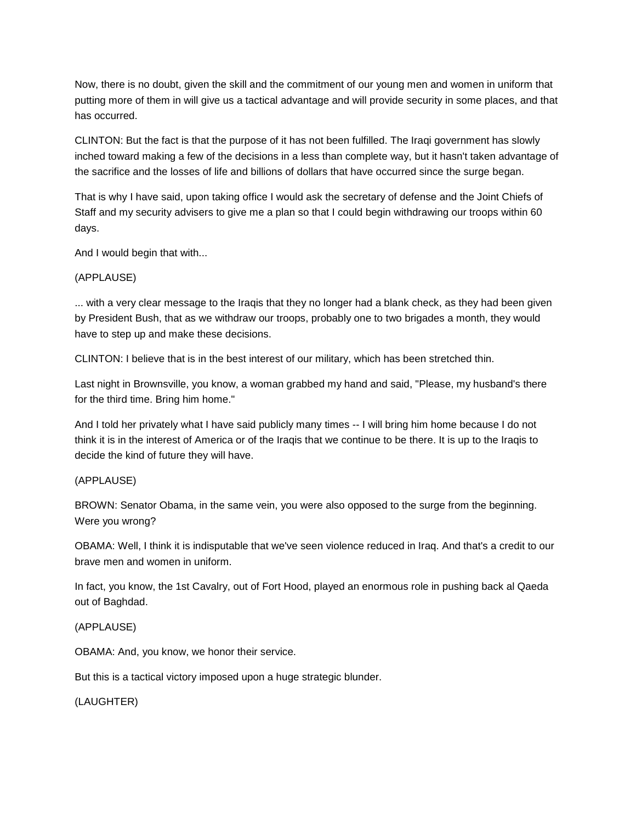Now, there is no doubt, given the skill and the commitment of our young men and women in uniform that putting more of them in will give us a tactical advantage and will provide security in some places, and that has occurred.

CLINTON: But the fact is that the purpose of it has not been fulfilled. The Iraqi government has slowly inched toward making a few of the decisions in a less than complete way, but it hasn't taken advantage of the sacrifice and the losses of life and billions of dollars that have occurred since the surge began.

That is why I have said, upon taking office I would ask the secretary of defense and the Joint Chiefs of Staff and my security advisers to give me a plan so that I could begin withdrawing our troops within 60 days.

And I would begin that with...

## (APPLAUSE)

... with a very clear message to the Iraqis that they no longer had a blank check, as they had been given by President Bush, that as we withdraw our troops, probably one to two brigades a month, they would have to step up and make these decisions.

CLINTON: I believe that is in the best interest of our military, which has been stretched thin.

Last night in Brownsville, you know, a woman grabbed my hand and said, "Please, my husband's there for the third time. Bring him home."

And I told her privately what I have said publicly many times -- I will bring him home because I do not think it is in the interest of America or of the Iraqis that we continue to be there. It is up to the Iraqis to decide the kind of future they will have.

## (APPLAUSE)

BROWN: Senator Obama, in the same vein, you were also opposed to the surge from the beginning. Were you wrong?

OBAMA: Well, I think it is indisputable that we've seen violence reduced in Iraq. And that's a credit to our brave men and women in uniform.

In fact, you know, the 1st Cavalry, out of Fort Hood, played an enormous role in pushing back al Qaeda out of Baghdad.

## (APPLAUSE)

OBAMA: And, you know, we honor their service.

But this is a tactical victory imposed upon a huge strategic blunder.

## (LAUGHTER)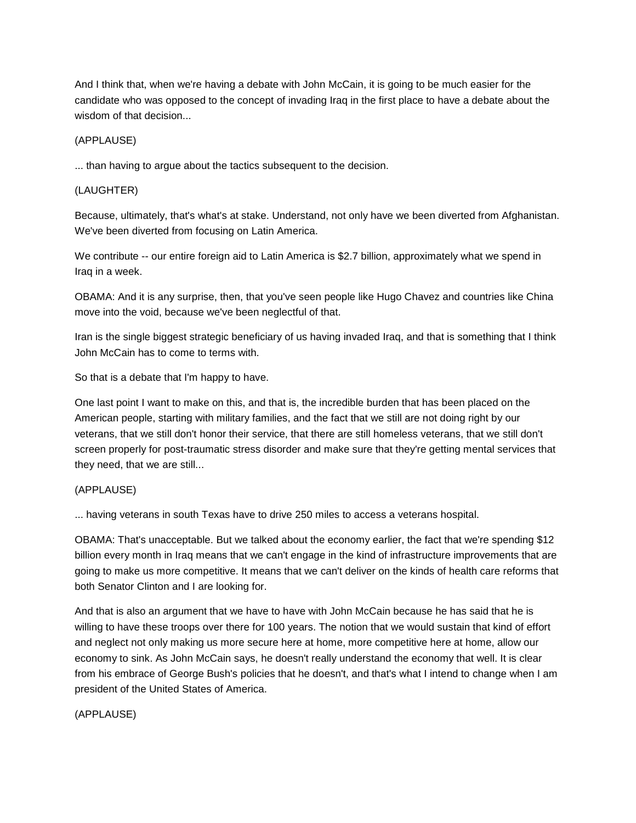And I think that, when we're having a debate with John McCain, it is going to be much easier for the candidate who was opposed to the concept of invading Iraq in the first place to have a debate about the wisdom of that decision...

## (APPLAUSE)

... than having to argue about the tactics subsequent to the decision.

## (LAUGHTER)

Because, ultimately, that's what's at stake. Understand, not only have we been diverted from Afghanistan. We've been diverted from focusing on Latin America.

We contribute -- our entire foreign aid to Latin America is \$2.7 billion, approximately what we spend in Iraq in a week.

OBAMA: And it is any surprise, then, that you've seen people like Hugo Chavez and countries like China move into the void, because we've been neglectful of that.

Iran is the single biggest strategic beneficiary of us having invaded Iraq, and that is something that I think John McCain has to come to terms with.

So that is a debate that I'm happy to have.

One last point I want to make on this, and that is, the incredible burden that has been placed on the American people, starting with military families, and the fact that we still are not doing right by our veterans, that we still don't honor their service, that there are still homeless veterans, that we still don't screen properly for post-traumatic stress disorder and make sure that they're getting mental services that they need, that we are still...

# (APPLAUSE)

... having veterans in south Texas have to drive 250 miles to access a veterans hospital.

OBAMA: That's unacceptable. But we talked about the economy earlier, the fact that we're spending \$12 billion every month in Iraq means that we can't engage in the kind of infrastructure improvements that are going to make us more competitive. It means that we can't deliver on the kinds of health care reforms that both Senator Clinton and I are looking for.

And that is also an argument that we have to have with John McCain because he has said that he is willing to have these troops over there for 100 years. The notion that we would sustain that kind of effort and neglect not only making us more secure here at home, more competitive here at home, allow our economy to sink. As John McCain says, he doesn't really understand the economy that well. It is clear from his embrace of George Bush's policies that he doesn't, and that's what I intend to change when I am president of the United States of America.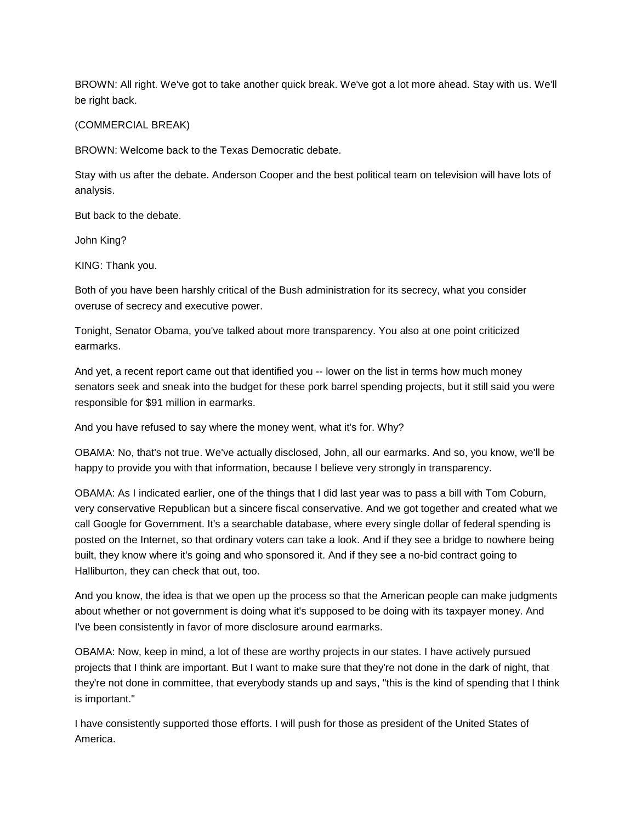BROWN: All right. We've got to take another quick break. We've got a lot more ahead. Stay with us. We'll be right back.

#### (COMMERCIAL BREAK)

BROWN: Welcome back to the Texas Democratic debate.

Stay with us after the debate. Anderson Cooper and the best political team on television will have lots of analysis.

But back to the debate.

John King?

KING: Thank you.

Both of you have been harshly critical of the Bush administration for its secrecy, what you consider overuse of secrecy and executive power.

Tonight, Senator Obama, you've talked about more transparency. You also at one point criticized earmarks.

And yet, a recent report came out that identified you -- lower on the list in terms how much money senators seek and sneak into the budget for these pork barrel spending projects, but it still said you were responsible for \$91 million in earmarks.

And you have refused to say where the money went, what it's for. Why?

OBAMA: No, that's not true. We've actually disclosed, John, all our earmarks. And so, you know, we'll be happy to provide you with that information, because I believe very strongly in transparency.

OBAMA: As I indicated earlier, one of the things that I did last year was to pass a bill with Tom Coburn, very conservative Republican but a sincere fiscal conservative. And we got together and created what we call Google for Government. It's a searchable database, where every single dollar of federal spending is posted on the Internet, so that ordinary voters can take a look. And if they see a bridge to nowhere being built, they know where it's going and who sponsored it. And if they see a no-bid contract going to Halliburton, they can check that out, too.

And you know, the idea is that we open up the process so that the American people can make judgments about whether or not government is doing what it's supposed to be doing with its taxpayer money. And I've been consistently in favor of more disclosure around earmarks.

OBAMA: Now, keep in mind, a lot of these are worthy projects in our states. I have actively pursued projects that I think are important. But I want to make sure that they're not done in the dark of night, that they're not done in committee, that everybody stands up and says, "this is the kind of spending that I think is important."

I have consistently supported those efforts. I will push for those as president of the United States of America.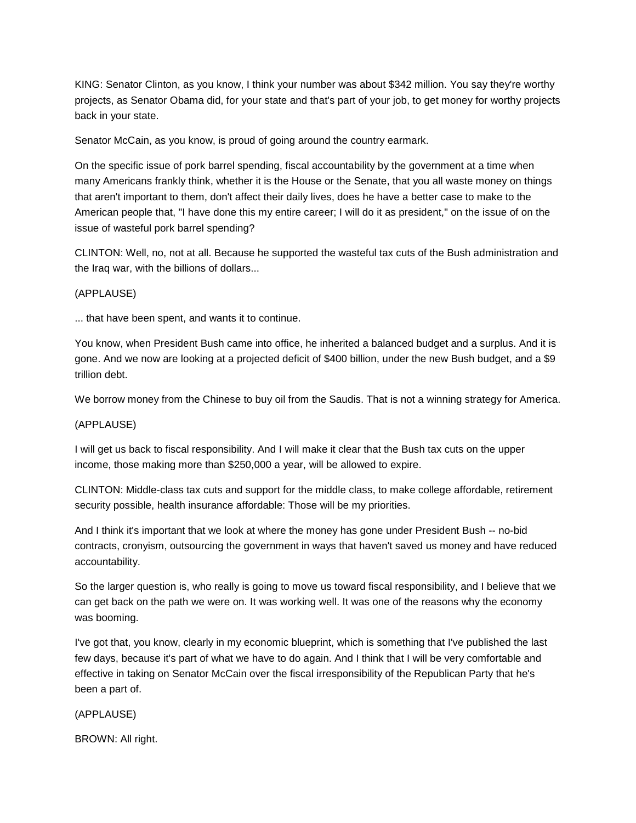KING: Senator Clinton, as you know, I think your number was about \$342 million. You say they're worthy projects, as Senator Obama did, for your state and that's part of your job, to get money for worthy projects back in your state.

Senator McCain, as you know, is proud of going around the country earmark.

On the specific issue of pork barrel spending, fiscal accountability by the government at a time when many Americans frankly think, whether it is the House or the Senate, that you all waste money on things that aren't important to them, don't affect their daily lives, does he have a better case to make to the American people that, "I have done this my entire career; I will do it as president," on the issue of on the issue of wasteful pork barrel spending?

CLINTON: Well, no, not at all. Because he supported the wasteful tax cuts of the Bush administration and the Iraq war, with the billions of dollars...

## (APPLAUSE)

... that have been spent, and wants it to continue.

You know, when President Bush came into office, he inherited a balanced budget and a surplus. And it is gone. And we now are looking at a projected deficit of \$400 billion, under the new Bush budget, and a \$9 trillion debt.

We borrow money from the Chinese to buy oil from the Saudis. That is not a winning strategy for America.

## (APPLAUSE)

I will get us back to fiscal responsibility. And I will make it clear that the Bush tax cuts on the upper income, those making more than \$250,000 a year, will be allowed to expire.

CLINTON: Middle-class tax cuts and support for the middle class, to make college affordable, retirement security possible, health insurance affordable: Those will be my priorities.

And I think it's important that we look at where the money has gone under President Bush -- no-bid contracts, cronyism, outsourcing the government in ways that haven't saved us money and have reduced accountability.

So the larger question is, who really is going to move us toward fiscal responsibility, and I believe that we can get back on the path we were on. It was working well. It was one of the reasons why the economy was booming.

I've got that, you know, clearly in my economic blueprint, which is something that I've published the last few days, because it's part of what we have to do again. And I think that I will be very comfortable and effective in taking on Senator McCain over the fiscal irresponsibility of the Republican Party that he's been a part of.

## (APPLAUSE)

BROWN: All right.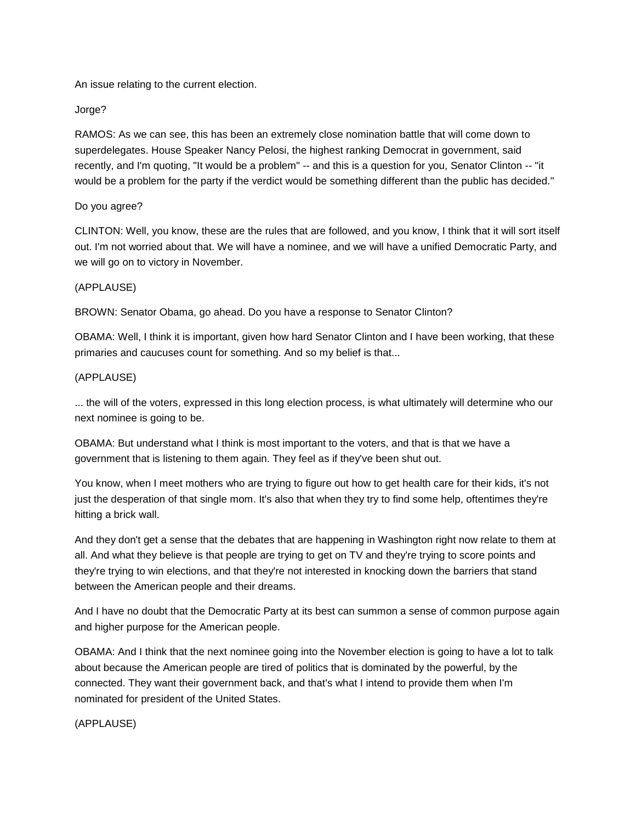An issue relating to the current election.

Jorge?

RAMOS: As we can see, this has been an extremely close nomination battle that will come down to superdelegates. House Speaker Nancy Pelosi, the highest ranking Democrat in government, said recently, and I'm quoting, "It would be a problem" -- and this is a question for you, Senator Clinton -- "it would be a problem for the party if the verdict would be something different than the public has decided."

## Do you agree?

CLINTON: Well, you know, these are the rules that are followed, and you know, I think that it will sort itself out. I'm not worried about that. We will have a nominee, and we will have a unified Democratic Party, and we will go on to victory in November.

## (APPLAUSE)

BROWN: Senator Obama, go ahead. Do you have a response to Senator Clinton?

OBAMA: Well, I think it is important, given how hard Senator Clinton and I have been working, that these primaries and caucuses count for something. And so my belief is that...

# (APPLAUSE)

... the will of the voters, expressed in this long election process, is what ultimately will determine who our next nominee is going to be.

OBAMA: But understand what I think is most important to the voters, and that is that we have a government that is listening to them again. They feel as if they've been shut out.

You know, when I meet mothers who are trying to figure out how to get health care for their kids, it's not just the desperation of that single mom. It's also that when they try to find some help, oftentimes they're hitting a brick wall.

And they don't get a sense that the debates that are happening in Washington right now relate to them at all. And what they believe is that people are trying to get on TV and they're trying to score points and they're trying to win elections, and that they're not interested in knocking down the barriers that stand between the American people and their dreams.

And I have no doubt that the Democratic Party at its best can summon a sense of common purpose again and higher purpose for the American people.

OBAMA: And I think that the next nominee going into the November election is going to have a lot to talk about because the American people are tired of politics that is dominated by the powerful, by the connected. They want their government back, and that's what I intend to provide them when I'm nominated for president of the United States.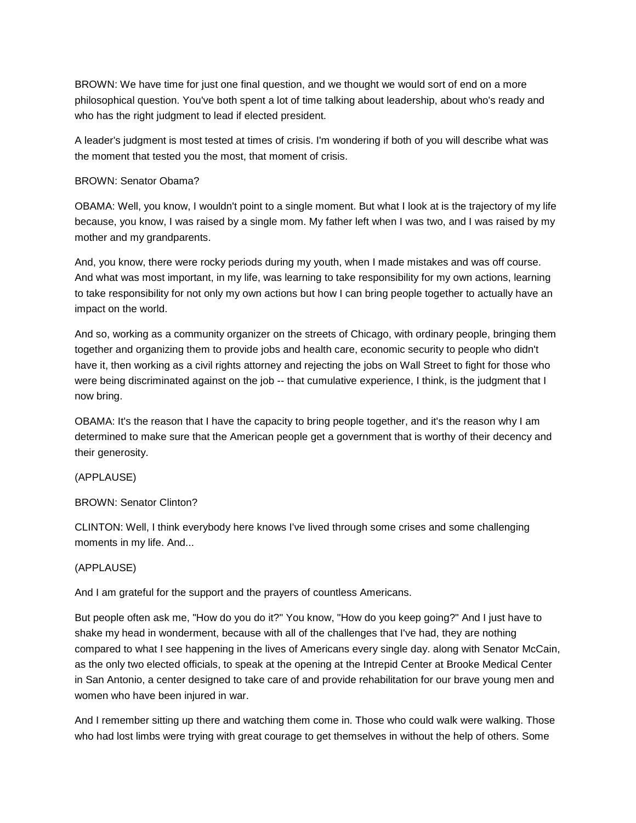BROWN: We have time for just one final question, and we thought we would sort of end on a more philosophical question. You've both spent a lot of time talking about leadership, about who's ready and who has the right judgment to lead if elected president.

A leader's judgment is most tested at times of crisis. I'm wondering if both of you will describe what was the moment that tested you the most, that moment of crisis.

## BROWN: Senator Obama?

OBAMA: Well, you know, I wouldn't point to a single moment. But what I look at is the trajectory of my life because, you know, I was raised by a single mom. My father left when I was two, and I was raised by my mother and my grandparents.

And, you know, there were rocky periods during my youth, when I made mistakes and was off course. And what was most important, in my life, was learning to take responsibility for my own actions, learning to take responsibility for not only my own actions but how I can bring people together to actually have an impact on the world.

And so, working as a community organizer on the streets of Chicago, with ordinary people, bringing them together and organizing them to provide jobs and health care, economic security to people who didn't have it, then working as a civil rights attorney and rejecting the jobs on Wall Street to fight for those who were being discriminated against on the job -- that cumulative experience, I think, is the judgment that I now bring.

OBAMA: It's the reason that I have the capacity to bring people together, and it's the reason why I am determined to make sure that the American people get a government that is worthy of their decency and their generosity.

(APPLAUSE)

# BROWN: Senator Clinton?

CLINTON: Well, I think everybody here knows I've lived through some crises and some challenging moments in my life. And...

# (APPLAUSE)

And I am grateful for the support and the prayers of countless Americans.

But people often ask me, "How do you do it?" You know, "How do you keep going?" And I just have to shake my head in wonderment, because with all of the challenges that I've had, they are nothing compared to what I see happening in the lives of Americans every single day. along with Senator McCain, as the only two elected officials, to speak at the opening at the Intrepid Center at Brooke Medical Center in San Antonio, a center designed to take care of and provide rehabilitation for our brave young men and women who have been injured in war.

And I remember sitting up there and watching them come in. Those who could walk were walking. Those who had lost limbs were trying with great courage to get themselves in without the help of others. Some